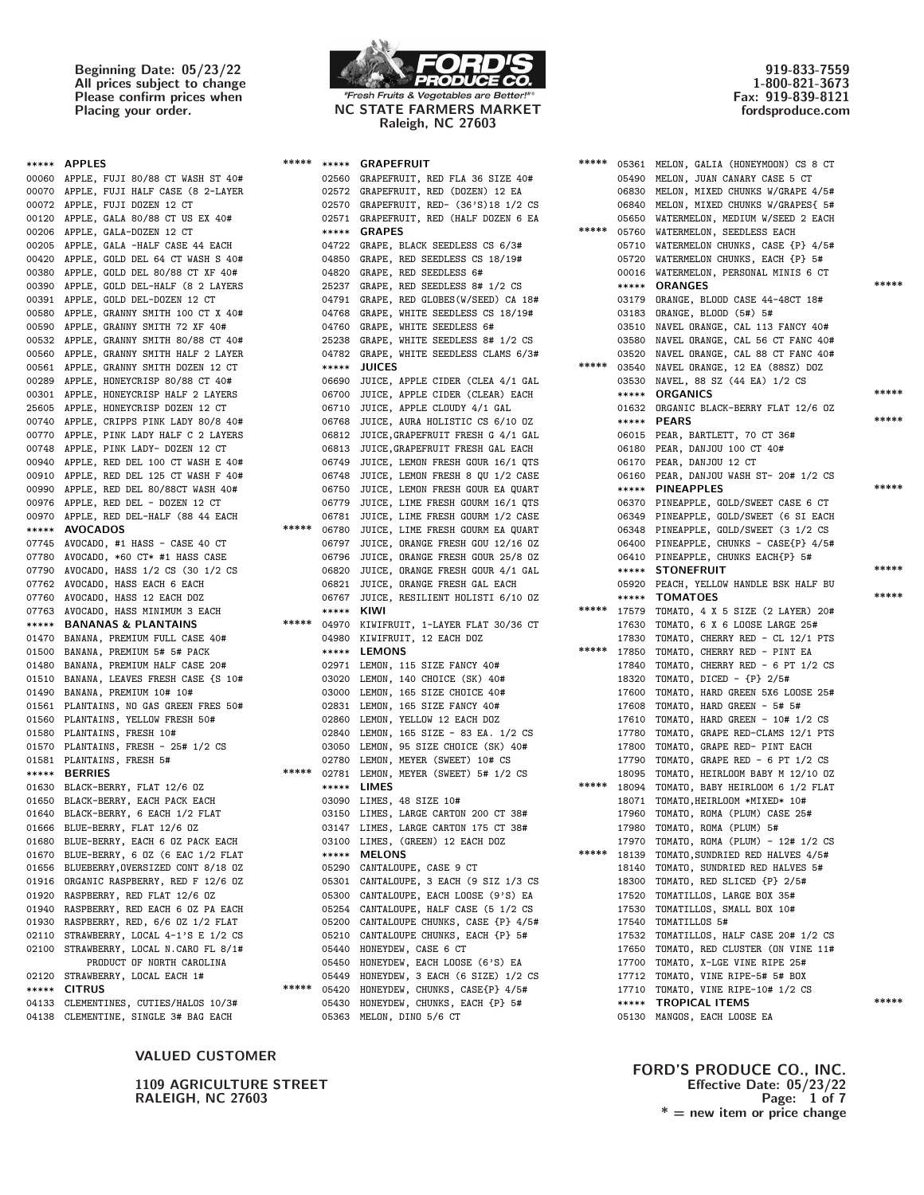Beginning Date: 05/23/22 All prices subject to change Please confirm prices when<br>Placing your order.



NC STATE FARMERS MARKET Raleigh, NC 27603

\*\*\*\*\* \*\*\*\*\* GRAPEFRUIT

919-833-7559 1-800-821-3673 Fax: 919-839-8121 fordsproduce.com

| ***** APPLES                                                    | ***** |            | ***** GRAPEFRUIT                                                             |
|-----------------------------------------------------------------|-------|------------|------------------------------------------------------------------------------|
| 00060 APPLE, FUJI 80/88 CT WASH ST 40#                          |       |            | 02560 GRAPEFRUIT, RED FLA 36 SIZE 40                                         |
| 00070 APPLE, FUJI HALF CASE (8 2-LAYER                          |       |            | 02572 GRAPEFRUIT, RED (DOZEN) 12 EA                                          |
| 00072 APPLE, FUJI DOZEN 12 CT                                   |       |            | 02570 GRAPEFRUIT, RED- (36'S)18 1/2                                          |
| 00120 APPLE, GALA 80/88 CT US EX 40#                            |       |            | 02571 GRAPEFRUIT, RED (HALF DOZEN 6                                          |
| 00206 APPLE, GALA-DOZEN 12 CT                                   |       |            | ***** GRAPES                                                                 |
| 00205 APPLE, GALA -HALF CASE 44 EACH                            |       |            | 04722 GRAPE, BLACK SEEDLESS CS 6/3#                                          |
| 00420 APPLE, GOLD DEL 64 CT WASH S 40#                          |       |            | 04850 GRAPE, RED SEEDLESS CS 18/19#                                          |
| 00380 APPLE, GOLD DEL 80/88 CT XF 40#                           |       |            | 04820 GRAPE, RED SEEDLESS 6#                                                 |
| 00390 APPLE, GOLD DEL-HALF (8 2 LAYERS                          |       |            | 25237 GRAPE, RED SEEDLESS 8# 1/2 CS                                          |
| 00391 APPLE, GOLD DEL-DOZEN 12 CT                               |       |            | 04791 GRAPE, RED GLOBES (W/SEED) CA 1                                        |
| 00580 APPLE, GRANNY SMITH 100 CT X 40#                          |       |            | 04768 GRAPE, WHITE SEEDLESS CS 18/19                                         |
| 00590 APPLE, GRANNY SMITH 72 XF 40#                             |       |            | 04760 GRAPE, WHITE SEEDLESS 6#                                               |
| 00532 APPLE, GRANNY SMITH 80/88 CT 40#                          |       |            | 25238 GRAPE, WHITE SEEDLESS 8# 1/2 C                                         |
| 00560 APPLE, GRANNY SMITH HALF 2 LAYER                          |       |            | 04782 GRAPE, WHITE SEEDLESS CLAMS 6/                                         |
| 00561 APPLE, GRANNY SMITH DOZEN 12 CT                           |       |            | ***** JUICES                                                                 |
| 00289 APPLE, HONEYCRISP 80/88 CT 40#                            |       |            | 06690 JUICE, APPLE CIDER (CLEA 4/1 G                                         |
| 00301 APPLE, HONEYCRISP HALF 2 LAYERS                           |       |            | 06700 JUICE, APPLE CIDER (CLEAR) EAC                                         |
| 25605 APPLE, HONEYCRISP DOZEN 12 CT                             |       |            | 06710 JUICE, APPLE CLOUDY 4/1 GAL                                            |
| 00740 APPLE, CRIPPS PINK LADY 80/8 40#                          |       |            | 06768 JUICE, AURA HOLISTIC CS 6/10 0                                         |
| 00770 APPLE, PINK LADY HALF C 2 LAYERS                          |       |            | 06812 JUICE, GRAPEFRUIT FRESH G 4/1 G                                        |
| 00748 APPLE, PINK LADY- DOZEN 12 CT                             |       |            | 06813 JUICE, GRAPEFRUIT FRESH GAL EAC                                        |
| 00940 APPLE, RED DEL 100 CT WASH E 40#                          |       |            | 06749 JUICE, LEMON FRESH GOUR 16/1 Q                                         |
| 00910 APPLE, RED DEL 125 CT WASH F 40#                          |       |            | 06748 JUICE, LEMON FRESH 8 QU 1/2 CA                                         |
| 00990 APPLE, RED DEL 80/88CT WASH 40#                           |       |            | 06750 JUICE, LEMON FRESH GOUR EA QUA                                         |
| 00976 APPLE, RED DEL - DOZEN 12 CT                              |       |            | 06779 JUICE, LIME FRESH GOURM 16/1 Q                                         |
| 00970 APPLE, RED DEL-HALF (88 44 EACH                           |       |            | 06781 JUICE, LIME FRESH GOURM 1/2 CA                                         |
| ***** AVOCADOS                                                  | ***** |            | 06780 JUICE, LIME FRESH GOURM EA QUA                                         |
| 07745 AVOCADO, #1 HASS - CASE 40 CT                             |       |            | 06797 JUICE, ORANGE FRESH GOU 12/16                                          |
| 07780 AVOCADO, *60 CT* #1 HASS CASE                             |       |            | 06796 JUICE, ORANGE FRESH GOUR 25/8                                          |
| 07790 AVOCADO, HASS 1/2 CS (30 1/2 CS                           |       |            | 06820 JUICE, ORANGE FRESH GOUR 4/1 G                                         |
| 07762 AVOCADO, HASS EACH 6 EACH                                 |       |            | 06821 JUICE, ORANGE FRESH GAL EACH                                           |
| 07760 AVOCADO, HASS 12 EACH DOZ                                 |       | 06767      | JUICE, RESILIENT HOLISTI 6/10                                                |
| 07763 AVOCADO, HASS MINIMUM 3 EACH                              |       | ***** KIWI |                                                                              |
| ***** BANANAS & PLANTAINS                                       |       |            | ***** 04970 KIWIFRUIT, 1-LAYER FLAT 30/36                                    |
| 01470 BANANA, PREMIUM FULL CASE 40#                             |       |            | 04980 KIWIFRUIT, 12 EACH DOZ                                                 |
| 01500 BANANA, PREMIUM 5# 5# PACK                                |       |            | ***** LEMONS                                                                 |
| 01480 BANANA, PREMIUM HALF CASE 20#                             |       |            | 02971 LEMON, 115 SIZE FANCY 40#                                              |
| 01510 BANANA, LEAVES FRESH CASE {S 10#                          |       |            | 03020 LEMON, 140 CHOICE (SK) 40#                                             |
| 01490 BANANA, PREMIUM 10# 10#                                   |       |            | 03000 LEMON, 165 SIZE CHOICE 40#                                             |
| 01561 PLANTAINS, NO GAS GREEN FRES 50#                          |       |            | 02831 LEMON, 165 SIZE FANCY 40#                                              |
| 01560 PLANTAINS, YELLOW FRESH 50#<br>01580 PLANTAINS, FRESH 10# |       |            | 02860 LEMON, YELLOW 12 EACH DOZ                                              |
| 01570 PLANTAINS, FRESH - 25# 1/2 CS                             |       |            | 02840 LEMON, 165 SIZE - 83 EA. 1/2 C<br>03050 LEMON, 95 SIZE CHOICE (SK) 40# |
| 01581 PLANTAINS, FRESH 5#                                       |       |            |                                                                              |
| ***** BERRIES                                                   | ***** |            | 02780 LEMON, MEYER (SWEET) 10# CS<br>02781 LEMON, MEYER (SWEET) 5# 1/2 CS    |
| 01630 BLACK-BERRY, FLAT 12/6 0Z                                 |       |            | ***** LIMES                                                                  |
| 01650 BLACK-BERRY, EACH PACK EACH                               |       |            | 03090 LIMES, 48 SIZE 10#                                                     |
| 01640 BLACK-BERRY, 6 EACH 1/2 FLAT                              |       |            | 03150 LIMES, LARGE CARTON 200 CT 38#                                         |
| 01666 BLUE-BERRY, FLAT 12/6 0Z                                  |       |            | 03147 LIMES, LARGE CARTON 175 CT 38#                                         |
| 01680 BLUE-BERRY, EACH 6 OZ PACK EACH                           |       |            | 03100 LIMES, (GREEN) 12 EACH DOZ                                             |
| 01670 BLUE-BERRY, 6 0Z (6 EAC 1/2 FLAT                          |       |            | ***** MELONS                                                                 |
| 01656 BLUEBERRY, OVERSIZED CONT 8/18 0Z                         |       |            | 05290 CANTALOUPE, CASE 9 CT                                                  |
| 01916 ORGANIC RASPBERRY, RED F 12/6 OZ                          |       |            | 05301 CANTALOUPE, 3 EACH (9 SIZ 1/3                                          |
| 01920 RASPBERRY, RED FLAT 12/6 0Z                               |       |            | 05300 CANTALOUPE, EACH LOOSE (9'S) E                                         |
| 01940 RASPBERRY, RED EACH 6 OZ PA EACH                          |       |            | 05254 CANTALOUPE, HALF CASE (5 1/2 C                                         |
| 01930 RASPBERRY, RED, 6/6 0Z 1/2 FLAT                           |       |            | 05200 CANTALOUPE CHUNKS, CASE {P} 4/                                         |
| 02110 STRAWBERRY, LOCAL 4-1'S E 1/2 CS                          |       |            | 05210 CANTALOUPE CHUNKS, EACH {P} 5#                                         |
| 02100 STRAWBERRY, LOCAL N.CARO FL 8/1#                          |       |            | 05440 HONEYDEW, CASE 6 CT                                                    |
| PRODUCT OF NORTH CAROLINA                                       |       |            | 05450 HONEYDEW, EACH LOOSE (6'S) EA                                          |
| 02120 STRAWBERRY, LOCAL EACH 1#                                 |       |            | 05449 HONEYDEW, 3 EACH (6 SIZE) 1/2                                          |
| ***** CITRUS                                                    | ***** |            | 05420 HONEYDEW, CHUNKS, CASE{P} 4/5#                                         |
| 04133 CLEMENTINES, CUTIES/HALOS 10/3#                           |       |            | 05430 HONEYDEW, CHUNKS, EACH {P} 5#                                          |
| 04138 CLEMENTINE SINGLE 3# BAC EACH                             |       |            | 05363 MELON DINO 5/6 CT                                                      |

VALUED CUSTOMER

**RALEIGH, NC 27603** 

| ***** APPLES                            |       |            | ***** ***** GRAPEFRUIT                       | ***** |       | 05361 MELON, GALIA (HONEYMOON) CS 8 CT       |       |
|-----------------------------------------|-------|------------|----------------------------------------------|-------|-------|----------------------------------------------|-------|
| 00060 APPLE, FUJI 80/88 CT WASH ST 40#  |       |            | 02560 GRAPEFRUIT, RED FLA 36 SIZE 40#        |       |       | 05490 MELON, JUAN CANARY CASE 5 CT           |       |
| 00070 APPLE, FUJI HALF CASE (8 2-LAYER  |       |            | 02572 GRAPEFRUIT, RED (DOZEN) 12 EA          |       | 06830 | MELON, MIXED CHUNKS W/GRAPE 4/5#             |       |
| 00072 APPLE, FUJI DOZEN 12 CT           |       |            | 02570 GRAPEFRUIT, RED- (36'S)18 1/2 CS       |       | 06840 | MELON, MIXED CHUNKS W/GRAPES{ 5#             |       |
| 00120 APPLE, GALA 80/88 CT US EX 40#    |       |            | 02571 GRAPEFRUIT, RED (HALF DOZEN 6 EA       |       |       | 05650 WATERMELON, MEDIUM W/SEED 2 EACH       |       |
| 00206 APPLE, GALA-DOZEN 12 CT           |       |            | ***** GRAPES                                 | ***** |       | 05760 WATERMELON, SEEDLESS EACH              |       |
| 00205 APPLE, GALA -HALF CASE 44 EACH    |       |            | 04722 GRAPE, BLACK SEEDLESS CS 6/3#          |       |       | 05710 WATERMELON CHUNKS, CASE {P} 4/5#       |       |
| 00420 APPLE, GOLD DEL 64 CT WASH S 40#  |       |            | 04850 GRAPE, RED SEEDLESS CS 18/19#          |       |       | 05720 WATERMELON CHUNKS, EACH {P} 5#         |       |
| 00380 APPLE, GOLD DEL 80/88 CT XF 40#   |       |            | 04820 GRAPE, RED SEEDLESS 6#                 |       |       | 00016 WATERMELON, PERSONAL MINIS 6 CT        |       |
| 00390 APPLE, GOLD DEL-HALF (8 2 LAYERS  |       |            | 25237 GRAPE, RED SEEDLESS 8# 1/2 CS          |       |       | ***** ORANGES                                | ***** |
| 00391 APPLE, GOLD DEL-DOZEN 12 CT       |       |            | 04791 GRAPE, RED GLOBES(W/SEED) CA 18#       |       |       | 03179 ORANGE, BLOOD CASE 44-48CT 18#         |       |
| 00580 APPLE, GRANNY SMITH 100 CT X 40#  |       |            | 04768 GRAPE, WHITE SEEDLESS CS 18/19#        |       |       | 03183 ORANGE, BLOOD (5#) 5#                  |       |
| 00590 APPLE, GRANNY SMITH 72 XF 40#     |       |            | 04760 GRAPE, WHITE SEEDLESS 6#               |       |       | 03510 NAVEL ORANGE, CAL 113 FANCY 40#        |       |
| 00532 APPLE, GRANNY SMITH 80/88 CT 40#  |       |            | 25238 GRAPE, WHITE SEEDLESS 8# 1/2 CS        |       |       | 03580 NAVEL ORANGE, CAL 56 CT FANC 40#       |       |
| 00560 APPLE, GRANNY SMITH HALF 2 LAYER  |       |            | 04782 GRAPE, WHITE SEEDLESS CLAMS 6/3#       |       |       | 03520 NAVEL ORANGE, CAL 88 CT FANC 40#       |       |
| 00561 APPLE, GRANNY SMITH DOZEN 12 CT   |       |            | ***** JUICES                                 | ***** |       | 03540 NAVEL ORANGE, 12 EA (88SZ) DOZ         |       |
| 00289 APPLE, HONEYCRISP 80/88 CT 40#    |       |            | 06690 JUICE, APPLE CIDER (CLEA 4/1 GAL       |       |       | 03530 NAVEL, 88 SZ (44 EA) 1/2 CS            |       |
| 00301 APPLE, HONEYCRISP HALF 2 LAYERS   |       |            | 06700 JUICE, APPLE CIDER (CLEAR) EACH        |       |       | ***** ORGANICS                               | ***** |
| 25605 APPLE, HONEYCRISP DOZEN 12 CT     |       |            | 06710 JUICE, APPLE CLOUDY 4/1 GAL            |       |       | 01632 ORGANIC BLACK-BERRY FLAT 12/6 OZ       |       |
| 00740 APPLE, CRIPPS PINK LADY 80/8 40#  |       |            | 06768 JUICE, AURA HOLISTIC CS 6/10 OZ        |       |       | ***** PEARS                                  | ***** |
| 00770 APPLE, PINK LADY HALF C 2 LAYERS  |       |            | 06812 JUICE, GRAPEFRUIT FRESH G 4/1 GAL      |       |       | 06015 PEAR, BARTLETT, 70 CT 36#              |       |
| 00748 APPLE, PINK LADY- DOZEN 12 CT     |       |            | 06813 JUICE, GRAPEFRUIT FRESH GAL EACH       |       |       | 06180 PEAR, DANJOU 100 CT 40#                |       |
| 00940 APPLE, RED DEL 100 CT WASH E 40#  |       |            | 06749 JUICE, LEMON FRESH GOUR 16/1 QTS       |       |       | 06170 PEAR, DANJOU 12 CT                     |       |
| 00910 APPLE, RED DEL 125 CT WASH F 40#  |       |            | 06748 JUICE, LEMON FRESH 8 QU 1/2 CASE       |       |       | 06160 PEAR, DANJOU WASH ST- 20# 1/2 CS       |       |
| 00990 APPLE, RED DEL 80/88CT WASH 40#   |       |            | 06750 JUICE, LEMON FRESH GOUR EA QUART       |       |       | ***** PINEAPPLES                             | ***** |
| 00976 APPLE, RED DEL - DOZEN 12 CT      |       |            | 06779 JUICE, LIME FRESH GOURM 16/1 QTS       |       |       | 06370 PINEAPPLE, GOLD/SWEET CASE 6 CT        |       |
| 00970 APPLE, RED DEL-HALF (88 44 EACH   |       |            | 06781 JUICE, LIME FRESH GOURM 1/2 CASE       |       |       | 06349 PINEAPPLE, GOLD/SWEET (6 SI EACH       |       |
| ***** AVOCADOS                          |       |            | ***** 06780 JUICE, LIME FRESH GOURM EA QUART |       |       | 06348 PINEAPPLE, GOLD/SWEET (3 1/2 CS        |       |
| 07745 AVOCADO, #1 HASS - CASE 40 CT     |       |            | 06797 JUICE, ORANGE FRESH GOU 12/16 OZ       |       |       | 06400 PINEAPPLE, CHUNKS - CASE{P} 4/5#       |       |
| 07780 AVOCADO, *60 CT* #1 HASS CASE     |       |            | 06796 JUICE, ORANGE FRESH GOUR 25/8 OZ       |       |       | 06410 PINEAPPLE, CHUNKS EACH{P} 5#           |       |
| 07790 AVOCADO, HASS 1/2 CS (30 1/2 CS   |       |            | 06820 JUICE, ORANGE FRESH GOUR 4/1 GAL       |       |       | ***** STONEFRUIT                             | ***** |
| 07762 AVOCADO, HASS EACH 6 EACH         |       |            | 06821 JUICE, ORANGE FRESH GAL EACH           |       |       | 05920 PEACH, YELLOW HANDLE BSK HALF BU       |       |
| 07760 AVOCADO, HASS 12 EACH DOZ         |       |            | 06767 JUICE, RESILIENT HOLISTI 6/10 OZ       |       |       | ***** TOMATOES                               | ***** |
| 07763 AVOCADO, HASS MINIMUM 3 EACH      |       | ***** KIWI |                                              |       |       | ***** 17579 TOMATO, 4 X 5 SIZE (2 LAYER) 20# |       |
| ***** BANANAS & PLANTAINS               |       |            | ***** 04970 KIWIFRUIT, 1-LAYER FLAT 30/36 CT |       |       | 17630 TOMATO, 6 X 6 LOOSE LARGE 25#          |       |
| 01470 BANANA, PREMIUM FULL CASE 40#     |       |            | 04980 KIWIFRUIT, 12 EACH DOZ                 |       |       | 17830 TOMATO, CHERRY RED - CL 12/1 PTS       |       |
| 01500 BANANA, PREMIUM 5# 5# PACK        |       |            | ***** LEMONS                                 | ***** | 17850 | TOMATO, CHERRY RED - PINT EA                 |       |
| 01480 BANANA, PREMIUM HALF CASE 20#     |       |            | 02971 LEMON, 115 SIZE FANCY 40#              |       |       | 17840 TOMATO, CHERRY RED - 6 PT 1/2 CS       |       |
| 01510 BANANA, LEAVES FRESH CASE {S 10#  |       |            | 03020 LEMON, 140 CHOICE (SK) 40#             |       |       | 18320 TOMATO, DICED - {P} 2/5#               |       |
| 01490 BANANA, PREMIUM 10# 10#           |       |            | 03000 LEMON, 165 SIZE CHOICE 40#             |       |       | 17600 TOMATO, HARD GREEN 5X6 LOOSE 25#       |       |
| 01561 PLANTAINS, NO GAS GREEN FRES 50#  |       |            | 02831 LEMON, 165 SIZE FANCY 40#              |       |       | 17608 TOMATO, HARD GREEN - 5# 5#             |       |
| 01560 PLANTAINS, YELLOW FRESH 50#       |       |            | 02860 LEMON, YELLOW 12 EACH DOZ              |       |       | 17610 TOMATO, HARD GREEN - 10# 1/2 CS        |       |
| 01580 PLANTAINS, FRESH 10#              |       |            | 02840 LEMON, 165 SIZE - 83 EA. 1/2 CS        |       |       | 17780 TOMATO, GRAPE RED-CLAMS 12/1 PTS       |       |
| 01570 PLANTAINS, FRESH - 25# 1/2 CS     |       |            | 03050 LEMON, 95 SIZE CHOICE (SK) 40#         |       |       | 17800 TOMATO, GRAPE RED- PINT EACH           |       |
| 01581 PLANTAINS, FRESH 5#               |       |            | 02780 LEMON, MEYER (SWEET) 10# CS            |       |       | 17790 TOMATO, GRAPE RED - 6 PT 1/2 CS        |       |
| ***** BERRIES                           |       |            | ***** 02781 LEMON, MEYER (SWEET) 5# 1/2 CS   |       |       | 18095 TOMATO, HEIRLOOM BABY M 12/10 OZ       |       |
| 01630 BLACK-BERRY, FLAT 12/6 OZ         |       |            | ***** LIMES                                  | ***** |       | 18094 TOMATO, BABY HEIRLOOM 6 1/2 FLAT       |       |
| 01650 BLACK-BERRY, EACH PACK EACH       |       |            | 03090 LIMES, 48 SIZE 10#                     |       |       | 18071 TOMATO, HEIRLOOM *MIXED* 10#           |       |
| 01640 BLACK-BERRY, 6 EACH 1/2 FLAT      |       |            | 03150 LIMES, LARGE CARTON 200 CT 38#         |       |       | 17960 TOMATO, ROMA (PLUM) CASE 25#           |       |
| 01666 BLUE-BERRY, FLAT 12/6 OZ          |       |            | 03147 LIMES, LARGE CARTON 175 CT 38#         |       |       | 17980 TOMATO, ROMA (PLUM) 5#                 |       |
| 01680 BLUE-BERRY, EACH 6 OZ PACK EACH   |       |            | 03100 LIMES, (GREEN) 12 EACH DOZ             |       |       | 17970 TOMATO, ROMA (PLUM) - 12# 1/2 CS       |       |
| 01670 BLUE-BERRY, 6 OZ (6 EAC 1/2 FLAT  |       |            | ***** MELONS                                 | ***** |       | 18139 TOMATO, SUNDRIED RED HALVES 4/5#       |       |
| 01656 BLUEBERRY, OVERSIZED CONT 8/18 0Z |       |            | 05290 CANTALOUPE, CASE 9 CT                  |       | 18140 | TOMATO, SUNDRIED RED HALVES 5#               |       |
| 01916 ORGANIC RASPBERRY, RED F 12/6 OZ  |       |            | 05301 CANTALOUPE, 3 EACH (9 SIZ 1/3 CS       |       |       | 18300 TOMATO, RED SLICED {P} 2/5#            |       |
| 01920 RASPBERRY, RED FLAT 12/6 OZ       |       |            | 05300 CANTALOUPE, EACH LOOSE (9'S) EA        |       | 17520 | TOMATILLOS, LARGE BOX 35#                    |       |
| 01940 RASPBERRY, RED EACH 6 OZ PA EACH  |       |            | 05254 CANTALOUPE, HALF CASE (5 1/2 CS        |       | 17530 | TOMATILLOS, SMALL BOX 10#                    |       |
| 01930 RASPBERRY, RED, 6/6 OZ 1/2 FLAT   |       |            | 05200 CANTALOUPE CHUNKS, CASE {P} 4/5#       |       |       | 17540 TOMATILLOS 5#                          |       |
| 02110 STRAWBERRY, LOCAL 4-1'S E 1/2 CS  |       |            | 05210 CANTALOUPE CHUNKS, EACH {P} 5#         |       |       | 17532 TOMATILLOS, HALF CASE 20# 1/2 CS       |       |
| 02100 STRAWBERRY, LOCAL N.CARO FL 8/1#  |       |            | 05440 HONEYDEW, CASE 6 CT                    |       |       | 17650 TOMATO, RED CLUSTER (ON VINE 11#       |       |
| PRODUCT OF NORTH CAROLINA               |       |            | 05450 HONEYDEW, EACH LOOSE (6'S) EA          |       |       | 17700 TOMATO, X-LGE VINE RIPE 25#            |       |
| 02120 STRAWBERRY, LOCAL EACH 1#         |       |            | 05449 HONEYDEW, 3 EACH (6 SIZE) 1/2 CS       |       |       | 17712 TOMATO, VINE RIPE-5# 5# BOX            |       |
| ***** CITRUS                            | ***** |            | 05420 HONEYDEW, CHUNKS, CASE{P} 4/5#         |       |       | 17710 TOMATO, VINE RIPE-10# 1/2 CS           |       |
| 04133 CLEMENTINES, CUTIES/HALOS 10/3#   |       |            | 05430 HONEYDEW, CHUNKS, EACH {P} 5#          |       |       | <b>***** TROPICAL ITEMS</b>                  | ***** |
| 04138 CLEMENTINE. SINGLE 3# BAG EACH    |       |            | 05363 MELON, DINO 5/6 CT                     |       |       | 05130 MANGOS, EACH LOOSE EA                  |       |

FORD'S PRODUCE CO., INC.<br>Effective Date: 05/23/22 1109 AGRICULTURE STREET<br>RALEIGH, NC 27603 Page: 1 of 7  $* =$  new item or price change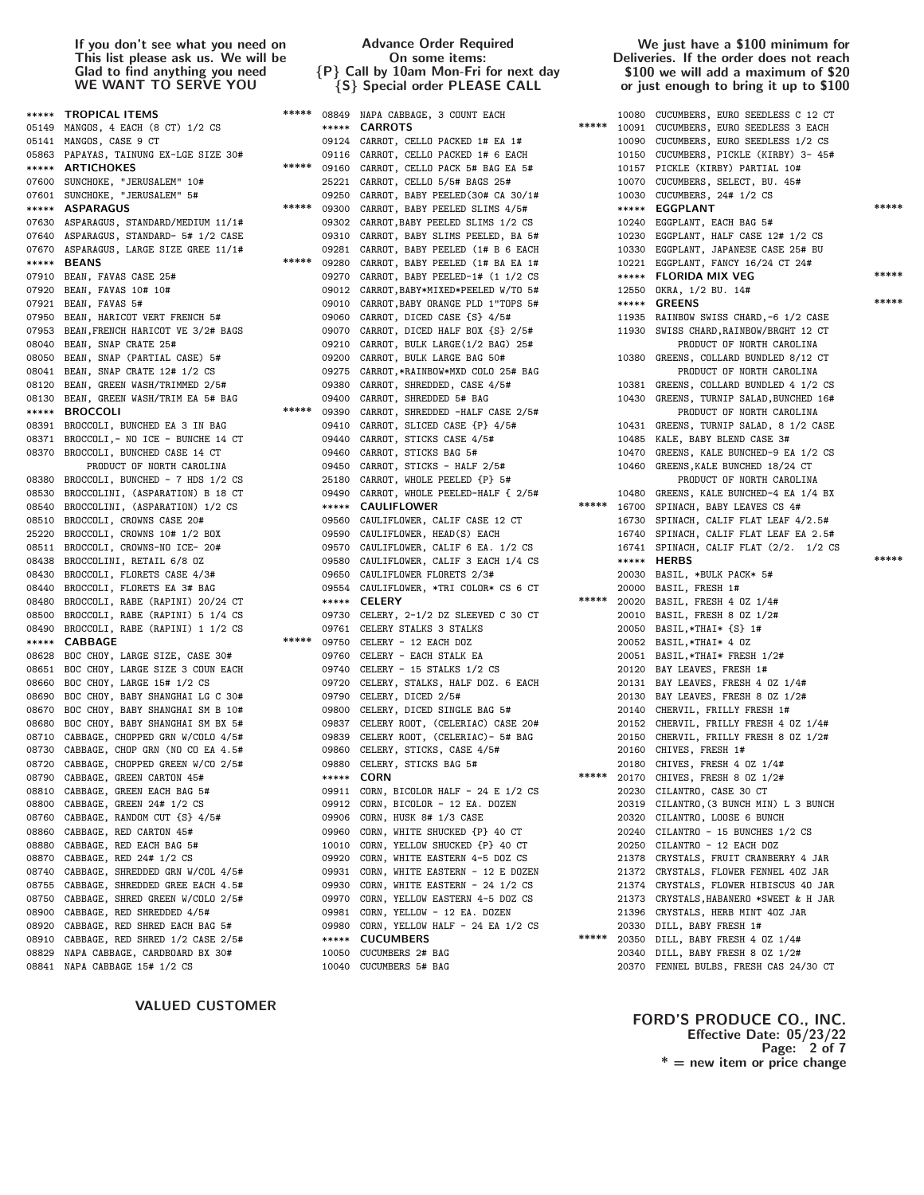# VALUED CUSTOMER

# Advance Order Required On some items: {P} Call by 10am Mon-Fri for next day {S} Special order PLEASE CALL

#### We just have a \$100 minimum for Deliveries. If the order does not reach \$100 we will add a maximum of \$20 or just enough to bring it up to \$100

|       | <b>***** TROPICAL ITEMS</b>                                                      |             |             | ***** 08849 NAPA CABBAGE, 3 COUNT EACH<br>UNT EACH<br>$\ast \ast \ast \ast \ast$                                                                                                                                     |       |       | 10080 CUCUMBERS, EURO SEEDLESS C 12 CT                                         |       |
|-------|----------------------------------------------------------------------------------|-------------|-------------|----------------------------------------------------------------------------------------------------------------------------------------------------------------------------------------------------------------------|-------|-------|--------------------------------------------------------------------------------|-------|
|       | 05149 MANGOS, 4 EACH (8 CT) 1/2 CS                                               |             |             | <b>***** CARROTS</b>                                                                                                                                                                                                 |       |       | 10091 CUCUMBERS, EURO SEEDLESS 3 EACH                                          |       |
|       | 05141 MANGOS, CASE 9 CT                                                          |             |             | 09124 CARROT, CELLO PACKED 1# EA 1#                                                                                                                                                                                  |       |       | 10090 CUCUMBERS, EURO SEEDLESS 1/2 CS                                          |       |
|       | 05863 PAPAYAS, TAINUNG EX-LGE SIZE 30#                                           |             |             | 09116 CARROT, CELLO PACKED 1# 6 EACH                                                                                                                                                                                 |       |       | 10150 CUCUMBERS, PICKLE (KIRBY) 3-45#                                          |       |
|       | ***** ARTICHOKES                                                                 |             |             | ***** 09160 CARROT, CELLO PACK 5# BAG EA 5#                                                                                                                                                                          |       |       | 10157 PICKLE (KIRBY) PARTIAL 10#                                               |       |
|       | 07600 SUNCHOKE, "JERUSALEM" 10#                                                  |             |             | 25221 CARROT, CELLO 5/5# BAGS 25#                                                                                                                                                                                    |       |       | 10070 CUCUMBERS, SELECT, BU. 45#                                               |       |
|       | 07601 SUNCHOKE, "JERUSALEM" 5#                                                   |             | 09250       | CARROT, BABY PEELED (30# CA 30/1#                                                                                                                                                                                    |       |       | 10030 CUCUMBERS, 24# 1/2 CS                                                    |       |
|       | ***** ASPARAGUS                                                                  |             | ***** 09300 | CARROT, BABY PEELED SLIMS 4/5#                                                                                                                                                                                       |       |       | ***** EGGPLANT                                                                 | ***** |
|       | 07630 ASPARAGUS, STANDARD/MEDIUM 11/1#                                           |             |             | 09302 CARROT, BABY PEELED SLIMS 1/2 CS                                                                                                                                                                               |       |       | 10240 EGGPLANT, EACH BAG 5#                                                    |       |
|       | 07640 ASPARAGUS, STANDARD- 5# 1/2 CASE                                           |             |             | 09310 CARROT, BABY SLIMS PEELED, BA 5#                                                                                                                                                                               |       |       | 10230 EGGPLANT, HALF CASE 12# 1/2 CS                                           |       |
|       | 07670 ASPARAGUS, LARGE SIZE GREE 11/1#                                           |             | 09281       | CARROT, BABY PEELED (1# B 6 EACH                                                                                                                                                                                     |       |       | 10330 EGGPLANT, JAPANESE CASE 25# BU                                           |       |
|       | ***** BEANS                                                                      |             | ***** 09280 | CARROT, BABY PEELED (1# BA EA 1#                                                                                                                                                                                     |       |       | 10221 EGGPLANT, FANCY 16/24 CT 24#                                             |       |
|       | 07910 BEAN, FAVAS CASE 25#                                                       |             | 09270       | CARROT, BABY PEELED-1# (1 1/2 CS                                                                                                                                                                                     |       |       | ***** FLORIDA MIX VEG                                                          | ***** |
|       | 07920 BEAN, FAVAS 10# 10#                                                        |             |             | 09012 CARROT, BABY*MIXED*PEELED W/TO 5#                                                                                                                                                                              |       |       | 12550 OKRA, 1/2 BU. 14#                                                        |       |
|       | 07921 BEAN, FAVAS 5#                                                             |             | 09010       | CARROT, BABY ORANGE PLD 1"TOPS 5#                                                                                                                                                                                    |       |       | ***** GREENS                                                                   | ***** |
|       | 07950 BEAN, HARICOT VERT FRENCH 5#                                               |             | 09060       | CARROT, DICED CASE {S} 4/5#                                                                                                                                                                                          |       |       | 11935 RAINBOW SWISS CHARD, -6 1/2 CASE                                         |       |
|       | 07953 BEAN, FRENCH HARICOT VE 3/2# BAGS                                          |             |             |                                                                                                                                                                                                                      |       |       | 11930 SWISS CHARD, RAINBOW/BRGHT 12 CT                                         |       |
|       | 08040 BEAN, SNAP CRATE 25#                                                       |             |             |                                                                                                                                                                                                                      |       |       | PRODUCT OF NORTH CAROLINA                                                      |       |
|       | 08050 BEAN, SNAP (PARTIAL CASE) 5#                                               |             |             | 09070 CARROT, DICED HALF BOX {S} 2/5#<br>09210 CARROT, BULK LARGE(1/2 BAG) 25#<br>09200 CARROT, BULK LARGE BAG 50#                                                                                                   |       |       | 10380 GREENS, COLLARD BUNDLED 8/12 CT                                          |       |
|       | 08041 BEAN, SNAP CRATE 12# 1/2 CS                                                |             |             | 09275 CARROT,*RAINBOW*MXD COLO 25# BAG                                                                                                                                                                               |       |       | PRODUCT OF NORTH CAROLINA                                                      |       |
|       | 08120 BEAN, GREEN WASH/TRIMMED 2/5#                                              |             | 09380       | CARROT, SHREDDED, CASE 4/5#                                                                                                                                                                                          |       |       | 10381 GREENS, COLLARD BUNDLED 4 1/2 CS                                         |       |
|       | 08130 BEAN, GREEN WASH/TRIM EA 5# BAG                                            |             | 09400       | CARROT, SHREDDED 5# BAG                                                                                                                                                                                              |       |       | 10430 GREENS, TURNIP SALAD, BUNCHED 16#                                        |       |
|       | ***** BROCCOLI                                                                   | ***** 09390 |             | CARROT, SHREDDED -HALF CASE $2/5#$<br>CARROT, SLICED CASE $\{P\}$ 4/5#                                                                                                                                               |       |       | PRODUCT OF NORTH CAROLINA                                                      |       |
|       | 08391 BROCCOLI, BUNCHED EA 3 IN BAG                                              |             | 09410       |                                                                                                                                                                                                                      |       |       | 10431 GREENS, TURNIP SALAD, 8 1/2 CASE                                         |       |
|       | 08371 BROCCOLI,- NO ICE - BUNCHE 14 CT                                           |             | 09440       | CARROT, STICKS CASE 4/5#                                                                                                                                                                                             |       |       | 10485 KALE, BABY BLEND CASE 3#                                                 |       |
|       | 08370 BROCCOLI, BUNCHED CASE 14 CT                                               |             | 09460       | CARROT, STICKS BAG 5#                                                                                                                                                                                                |       | 10470 | GREENS, KALE BUNCHED-9 EA 1/2 CS                                               |       |
|       | PRODUCT OF NORTH CAROLINA                                                        |             |             | 09450 CARROT, STICKS - HALF 2/5#                                                                                                                                                                                     |       | 10460 | GREENS, KALE BUNCHED 18/24 CT                                                  |       |
|       | 08380 BROCCOLI, BUNCHED - 7 HDS 1/2 CS                                           |             |             | 25180 CARROT, WHOLE PEELED {P} 5#<br>25180 CARRUT, WHOLE PEELED-HALF { 2/5# 10480 GREENS, KALE BUNCHED-4 EA 10490 CARROT, WHOLE PEELED-HALF { 2/5# 16700 SPINACH, BABY LEAVES CS 4# 16700 SPINACH, BABY LEAVES CS 4. |       |       | PRODUCT OF NORTH CAROLINA                                                      |       |
|       | 08530 BROCCOLINI, (ASPARATION) B 18 CT                                           |             |             |                                                                                                                                                                                                                      |       |       | 10480 GREENS, KALE BUNCHED-4 EA 1/4 BX                                         |       |
|       | 08540 BROCCOLINI, (ASPARATION) 1/2 CS                                            |             |             |                                                                                                                                                                                                                      |       |       |                                                                                |       |
|       | 08510 BROCCOLI, CROWNS CASE 20#                                                  |             | 09560       | CAULIFLOWER, CALIF CASE 12 CT                                                                                                                                                                                        |       |       | 16730 SPINACH, CALIF FLAT LEAF 4/2.5#                                          |       |
|       | 25220 BROCCOLI, CROWNS 10# 1/2 BOX                                               |             | 09590       | CAULIFLOWER, HEAD(S) EACH                                                                                                                                                                                            |       |       | 16740 SPINACH, CALIF FLAT LEAF EA 2.5#                                         |       |
|       | 08511 BROCCOLI, CROWNS-NO ICE- 20#                                               |             |             | 09570 CAULIFLOWER, CALIF 6 EA. 1/2 CS                                                                                                                                                                                |       |       | 16741 SPINACH, CALIF FLAT (2/2. 1/2 CS                                         | ***** |
|       | 08438 BROCCOLINI, RETAIL 6/8 OZ                                                  |             |             | 09580 CAULIFLOWER, CALIF 3 EACH 1/4 CS                                                                                                                                                                               |       |       | ***** HERBS                                                                    |       |
|       | 08430 BROCCOLI, FLORETS CASE 4/3#                                                |             |             | 09650 CAULIFLOWER FLORETS 2/3#                                                                                                                                                                                       |       |       | 20030 BASIL, *BULK PACK* 5#                                                    |       |
|       | 08440 BROCCOLI, FLORETS EA 3# BAG                                                |             |             | 09554 CAULIFLOWER, *TRI COLOR* CS 6 CT                                                                                                                                                                               |       |       | 20000 BASIL, FRESH 1#                                                          |       |
|       | 08480 BROCCOLI, RABE (RAPINI) 20/24 CT                                           |             |             | ***** CELERY                                                                                                                                                                                                         |       |       | ***** 20020 BASIL, FRESH 4 0Z 1/4#                                             |       |
|       | 08500 BROCCOLI, RABE (RAPINI) 5 1/4 CS                                           |             |             | 09730 CELERY, 2-1/2 DZ SLEEVED C 30 CT                                                                                                                                                                               |       |       | 20010 BASIL, FRESH 8 0Z 1/2#                                                   |       |
|       | 08490 BROCCOLI, RABE (RAPINI) 1 1/2 CS                                           |             |             | 09761 CELERY STALKS 3 STALKS                                                                                                                                                                                         |       |       | 20050 BASIL, *THAI* {S} 1#                                                     |       |
|       | ***** CABBAGE                                                                    |             | ***** 09750 | CELERY - 12 EACH DOZ                                                                                                                                                                                                 |       |       | 20052 BASIL, *THAI* 4 OZ                                                       |       |
|       | 08628 BOC CHOY, LARGE SIZE, CASE 30#                                             |             |             | 09760 CELERY - EACH STALK EA                                                                                                                                                                                         |       |       | 20051 BASIL, *THAI* FRESH 1/2#                                                 |       |
|       | 08651 BOC CHOY, LARGE SIZE 3 COUN EACH                                           |             |             | 09740 CELERY - 15 STALKS 1/2 CS                                                                                                                                                                                      |       |       | 20120 BAY LEAVES, FRESH 1#                                                     |       |
|       | 08660 BOC CHOY, LARGE 15# 1/2 CS                                                 |             |             | 09720 CELERY, STALKS, HALF DOZ. 6 EACH                                                                                                                                                                               |       |       | 20131 BAY LEAVES, FRESH 4 0Z 1/4#                                              |       |
|       | 08690 BOC CHOY, BABY SHANGHAI LG C 30#                                           |             |             | 09790 CELERY, DICED 2/5#                                                                                                                                                                                             |       |       | 20130 BAY LEAVES, FRESH 8 0Z 1/2#                                              |       |
|       | 08670 BOC CHOY, BABY SHANGHAI SM B 10#                                           |             |             | 09800 CELERY, DICED SINGLE BAG 5#<br>09837 CELERY ROOT, (CELERIAC) CASE 20#                                                                                                                                          |       |       | 20140 CHERVIL, FRILLY FRESH 1#                                                 |       |
|       | 08680 BOC CHOY, BABY SHANGHAI SM BX 5#<br>08710 CABBAGE, CHOPPED GRN W/COLO 4/5# |             |             | 09839 CELERY ROOT, (CELERIAC)- 5# BAG                                                                                                                                                                                |       |       | 20152 CHERVIL, FRILLY FRESH 4 0Z 1/4#<br>20150 CHERVIL, FRILLY FRESH 8 0Z 1/2# |       |
|       | 08730 CABBAGE, CHOP GRN (NO CO EA 4.5#                                           |             |             | 09860 CELERY, STICKS, CASE 4/5#                                                                                                                                                                                      |       |       | 20160 CHIVES, FRESH 1#                                                         |       |
|       | 08720 CABBAGE, CHOPPED GREEN W/CO 2/5#                                           |             |             | 09880 CELERY, STICKS BAG 5#                                                                                                                                                                                          |       |       | 20180 CHIVES, FRESH 4 0Z 1/4#                                                  |       |
|       | 08790 CABBAGE, GREEN CARTON 45#                                                  |             |             | ***** CORN                                                                                                                                                                                                           |       |       | ***** 20170 CHIVES, FRESH 8 0Z 1/2#                                            |       |
|       | 08810 CABBAGE, GREEN EACH BAG 5#                                                 |             |             | 09911 CORN, BICOLOR HALF - 24 E 1/2 CS                                                                                                                                                                               |       |       | 20230 CILANTRO, CASE 30 CT                                                     |       |
|       | 08800 CABBAGE, GREEN 24# 1/2 CS                                                  |             |             | 09912 CORN, BICOLOR - 12 EA. DOZEN                                                                                                                                                                                   |       |       | 20319 CILANTRO, (3 BUNCH MIN) L 3 BUNCH                                        |       |
|       | 08760 CABBAGE, RANDOM CUT {S} 4/5#                                               |             |             | 09906 CORN, HUSK 8# 1/3 CASE                                                                                                                                                                                         |       | 20320 | CILANTRO, LOOSE 6 BUNCH                                                        |       |
|       | 08860 CABBAGE, RED CARTON 45#                                                    |             | 09960       | CORN, WHITE SHUCKED {P} 40 CT                                                                                                                                                                                        |       | 20240 | CILANTRO - 15 BUNCHES 1/2 CS                                                   |       |
|       | 08880 CABBAGE, RED EACH BAG 5#                                                   |             |             | 10010 CORN, YELLOW SHUCKED {P} 40 CT                                                                                                                                                                                 |       | 20250 | CILANTRO - 12 EACH DOZ                                                         |       |
|       | 08870 CABBAGE, RED 24# 1/2 CS                                                    |             |             | 09920 CORN, WHITE EASTERN 4-5 DOZ CS                                                                                                                                                                                 |       | 21378 | CRYSTALS, FRUIT CRANBERRY 4 JAR                                                |       |
|       | 08740 CABBAGE, SHREDDED GRN W/COL 4/5#                                           |             | 09931       | CORN, WHITE EASTERN - 12 E DOZEN                                                                                                                                                                                     |       | 21372 | CRYSTALS, FLOWER FENNEL 40Z JAR                                                |       |
|       | 08755 CABBAGE, SHREDDED GREE EACH 4.5#                                           |             |             | 09930 CORN, WHITE EASTERN - 24 1/2 CS                                                                                                                                                                                |       | 21374 | CRYSTALS, FLOWER HIBISCUS 40 JAR                                               |       |
|       | 08750 CABBAGE, SHRED GREEN W/COLO 2/5#                                           |             | 09970       | CORN, YELLOW EASTERN 4-5 DOZ CS                                                                                                                                                                                      |       | 21373 | CRYSTALS, HABANERO *SWEET & H JAR                                              |       |
|       | 08900 CABBAGE, RED SHREDDED 4/5#                                                 |             | 09981       | CORN, YELLOW - 12 EA. DOZEN                                                                                                                                                                                          |       | 21396 | CRYSTALS, HERB MINT 40Z JAR                                                    |       |
| 08920 | CABBAGE, RED SHRED EACH BAG 5#                                                   |             | 09980       | CORN, YELLOW HALF - 24 EA 1/2 CS                                                                                                                                                                                     |       | 20330 | DILL, BABY FRESH 1#                                                            |       |
| 08910 | CABBAGE, RED SHRED 1/2 CASE 2/5#                                                 |             | *****       | <b>CUCUMBERS</b>                                                                                                                                                                                                     | ***** | 20350 | DILL, BABY FRESH 4 OZ 1/4#                                                     |       |
|       |                                                                                  |             |             |                                                                                                                                                                                                                      |       |       |                                                                                |       |
|       | 08829 NAPA CABBAGE, CARDBOARD BX 30#                                             |             | 10050       | CUCUMBERS 2# BAG                                                                                                                                                                                                     |       |       | 20340 DILL, BABY FRESH 8 0Z 1/2#                                               |       |

# FORD'S PRODUCE CO., INC. Effective Date: 05/23/22 Page: 2 of 7  $* =$  new item or price change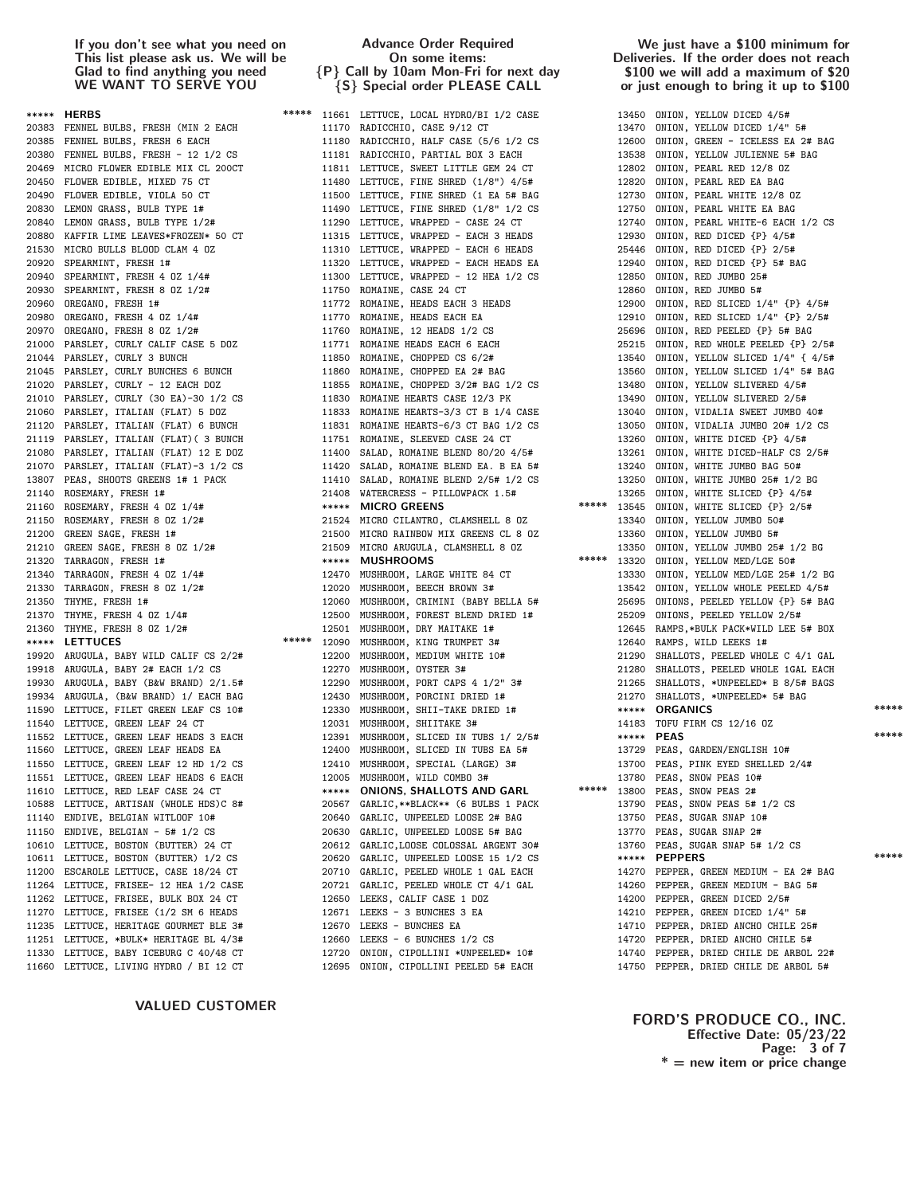VALUED CUSTOMER

## Advance Order Required On some items: {P} Call by 10am Mon-Fri for next day {S} Special order PLEASE CALL

## We just have a \$100 minimum for Deliveries. If the order does not reach \$100 we will add a maximum of \$20 or just enough to bring it up to \$100

| ***** HERBS                                                                                                                                                                                                                               |       | ***** 11661 LETTUCE, LOCAL HYDRO/BI 1/2 CASE                                                                                                                                                                                                                                             |       |            | 13450 ONION, YELLOW DICED 4/5#                                                                                                                                   |       |
|-------------------------------------------------------------------------------------------------------------------------------------------------------------------------------------------------------------------------------------------|-------|------------------------------------------------------------------------------------------------------------------------------------------------------------------------------------------------------------------------------------------------------------------------------------------|-------|------------|------------------------------------------------------------------------------------------------------------------------------------------------------------------|-------|
| 20383 FENNEL BULBS, FRESH (MIN 2 EACH                                                                                                                                                                                                     |       | 11170 RADICCHIO, CASE 9/12 CT                                                                                                                                                                                                                                                            |       |            | 13470 ONION, YELLOW DICED 1/4" 5#                                                                                                                                |       |
|                                                                                                                                                                                                                                           |       | 20385 FENNEL BULBS, FRESH 6 EACH<br>20385 FENNEL BULBS, FRESH 6 EACH<br>20380 FENNEL BULBS, FRESH - 12 1/2 CS<br>20380 FENNEL BULBS, FRESH - 12 1/2 CS<br>20469 MICRO FLOWER EDIBLE MIX CL 200CT<br>20469 CLOWER EDIBLE, NIXED 75 CT<br>20                                               |       | 12600      | ONION, GREEN - ICELESS EA 2# BAG                                                                                                                                 |       |
|                                                                                                                                                                                                                                           |       |                                                                                                                                                                                                                                                                                          |       | 13538      | ONION, YELLOW JULIENNE 5# BAG                                                                                                                                    |       |
|                                                                                                                                                                                                                                           |       |                                                                                                                                                                                                                                                                                          |       | 12802      | ONION, PEARL RED 12/8 OZ                                                                                                                                         |       |
|                                                                                                                                                                                                                                           |       |                                                                                                                                                                                                                                                                                          |       | 12820      | ONION, PEARL RED EA BAG                                                                                                                                          |       |
|                                                                                                                                                                                                                                           |       |                                                                                                                                                                                                                                                                                          |       | 12730      | ONION, PEARL WHITE 12/8 OZ                                                                                                                                       |       |
|                                                                                                                                                                                                                                           |       |                                                                                                                                                                                                                                                                                          |       | 12750      | ONION, PEARL WHITE EA BAG                                                                                                                                        |       |
|                                                                                                                                                                                                                                           |       |                                                                                                                                                                                                                                                                                          |       |            | 12740 ONION, PEARL WHITE-6 EACH 1/2 CS                                                                                                                           |       |
|                                                                                                                                                                                                                                           |       | 20880 KAFFIR LIME LEAVES*FROZEN* 50 CT 11315 LETTUCE, WRAPPED - EACH 3 HEADS<br>21530 MICRO BULLS BLOOD CLAM 4 OZ 11310 LETTUCE, WRAPPED - EACH 6 HEADS                                                                                                                                  |       | 12930      | ONION, RED DICED {P} 4/5#                                                                                                                                        |       |
|                                                                                                                                                                                                                                           |       |                                                                                                                                                                                                                                                                                          |       |            | 25446 ONION, RED DICED {P} 2/5#                                                                                                                                  |       |
|                                                                                                                                                                                                                                           |       |                                                                                                                                                                                                                                                                                          |       | 12940      | ONION, RED DICED {P} 5# BAG                                                                                                                                      |       |
| 20920 SPEARMINT, FRESH 1#<br>20920 SPEARMINT, FRESH 4 02 1/4#<br>20930 SPEARMINT, FRESH 8 02 1/2#<br>20960 OREGANO, FRESH 1 11772 ROMAINE, HEADS EACH 3 HEADS<br>20960 OREGANO, FRESH 4 02 1/4#<br>20980 OREGANO, FRESH 4 02 1/4#<br>2098 |       | 11320 LETTUCE, WRAPPED - 12 HEA 1/2 CS<br>11300 LETTUCE, WRAPPED - 12 HEA 1/2 CS<br>11750 ROMAINE, CASE 24 CT<br>11772 ROMAINE, HEADS EACH 3 HEADS<br>11770 ROMAINE, HEADS EACH EA<br>11760 ROMAINE, 12 HEADS 1/2 CS<br>11771 ROMAINE, CHOPPED CS 6/2#<br>11860 ROMAINE, CHOPPED CS 6/2# |       | 12850      | ONION, RED JUMBO 25#                                                                                                                                             |       |
|                                                                                                                                                                                                                                           |       |                                                                                                                                                                                                                                                                                          |       | 12860      | ONION, RED JUMBO 5#                                                                                                                                              |       |
|                                                                                                                                                                                                                                           |       |                                                                                                                                                                                                                                                                                          |       | 12900      | ONION, RED SLICED 1/4" {P} 4/5#                                                                                                                                  |       |
|                                                                                                                                                                                                                                           |       |                                                                                                                                                                                                                                                                                          |       | 12910      | ONION, RED SLICED 1/4" {P} 2/5#                                                                                                                                  |       |
|                                                                                                                                                                                                                                           |       |                                                                                                                                                                                                                                                                                          |       |            | 25696 ONION, RED PEELED {P} 5# BAG                                                                                                                               |       |
|                                                                                                                                                                                                                                           |       | 2090 REGARU, FRESH 4 02 1/44<br>2097 OREGARU, FRESH 8 02 1/2#<br>2007 OREGARU, FRESH 8 02 1/2#<br>21776 ROMAINE, 12 HEADS 1/2 CS<br>2176 REGARU, CURLY COLLY CALT CASE 5 DOZ<br>2176 RAMINE, 12 HEADS EACH<br>21044 PARSLEY, CURLY BUNCHE                                                |       | 25215      | ONION, RED WHOLE PEELED {P} 2/5#                                                                                                                                 |       |
|                                                                                                                                                                                                                                           |       |                                                                                                                                                                                                                                                                                          |       |            | 13540 ONION, YELLOW SLICED 1/4" { 4/5#                                                                                                                           |       |
|                                                                                                                                                                                                                                           |       |                                                                                                                                                                                                                                                                                          |       | 13560      | ONION, YELLOW SLICED 1/4" 5# BAG                                                                                                                                 |       |
|                                                                                                                                                                                                                                           |       |                                                                                                                                                                                                                                                                                          |       | 13480      | ONION, YELLOW SLIVERED 4/5#                                                                                                                                      |       |
|                                                                                                                                                                                                                                           |       |                                                                                                                                                                                                                                                                                          |       | 13490      | ONION, YELLOW SLIVERED 2/5#                                                                                                                                      |       |
|                                                                                                                                                                                                                                           |       |                                                                                                                                                                                                                                                                                          |       | 13040      | ONION, VIDALIA SWEET JUMBO 40#                                                                                                                                   |       |
|                                                                                                                                                                                                                                           |       |                                                                                                                                                                                                                                                                                          |       |            | 13050 ONION, VIDALIA JUMBO 20# 1/2 CS                                                                                                                            |       |
|                                                                                                                                                                                                                                           |       |                                                                                                                                                                                                                                                                                          |       |            | 13260 ONION, WHITE DICED {P} 4/5#                                                                                                                                |       |
|                                                                                                                                                                                                                                           |       |                                                                                                                                                                                                                                                                                          |       |            | 13261 ONION, WHITE DICED-HALF CS 2/5#                                                                                                                            |       |
|                                                                                                                                                                                                                                           |       |                                                                                                                                                                                                                                                                                          |       |            | 13240 ONION, WHITE JUMBO BAG 50#                                                                                                                                 |       |
|                                                                                                                                                                                                                                           |       |                                                                                                                                                                                                                                                                                          |       |            | 13250 ONION, WHITE JUMBO 25# 1/2 BG                                                                                                                              |       |
|                                                                                                                                                                                                                                           |       |                                                                                                                                                                                                                                                                                          |       |            | 13250 C.L.<br>13265 ONION, WHITE SLICED (P) $2/5#$<br>***** 13545 ONION, WHITE SLICED (P) $2/5#$<br>13340 ONION, YELLOW JUMBO 5#<br>12360 ONION, YELLOW JUMBO 5# |       |
|                                                                                                                                                                                                                                           |       |                                                                                                                                                                                                                                                                                          |       |            |                                                                                                                                                                  |       |
|                                                                                                                                                                                                                                           |       |                                                                                                                                                                                                                                                                                          |       |            |                                                                                                                                                                  |       |
|                                                                                                                                                                                                                                           |       | *****                                                                                                                                                                                                                                                                                    |       |            |                                                                                                                                                                  |       |
|                                                                                                                                                                                                                                           |       |                                                                                                                                                                                                                                                                                          |       |            | 13350 ONION, YELLOW JUMBO 25# 1/2 BG                                                                                                                             |       |
|                                                                                                                                                                                                                                           |       |                                                                                                                                                                                                                                                                                          |       |            | 13320 ONION, YELLOW MED/LGE 50#                                                                                                                                  |       |
|                                                                                                                                                                                                                                           |       |                                                                                                                                                                                                                                                                                          |       |            | 13330 ONION, YELLOW MED/LGE 25# 1/2 BG                                                                                                                           |       |
|                                                                                                                                                                                                                                           |       |                                                                                                                                                                                                                                                                                          |       |            | 13542 ONION, YELLOW WHOLE PEELED 4/5#                                                                                                                            |       |
|                                                                                                                                                                                                                                           |       |                                                                                                                                                                                                                                                                                          |       |            | 25695 ONIONS, PEELED YELLOW {P} 5# BAG                                                                                                                           |       |
|                                                                                                                                                                                                                                           |       |                                                                                                                                                                                                                                                                                          |       |            | 25209 ONIONS, PEELED YELLOW 2/5#                                                                                                                                 |       |
|                                                                                                                                                                                                                                           |       |                                                                                                                                                                                                                                                                                          |       |            | 12645 RAMPS, *BULK PACK*WILD LEE 5# BOX                                                                                                                          |       |
|                                                                                                                                                                                                                                           |       |                                                                                                                                                                                                                                                                                          |       |            | 12640 RAMPS, WILD LEEKS 1#                                                                                                                                       |       |
|                                                                                                                                                                                                                                           |       |                                                                                                                                                                                                                                                                                          |       |            | 21290 SHALLOTS, PEELED WHOLE C 4/1 GAL                                                                                                                           |       |
|                                                                                                                                                                                                                                           |       |                                                                                                                                                                                                                                                                                          |       | 21280      | SHALLOTS, PEELED WHOLE 1GAL EACH                                                                                                                                 |       |
|                                                                                                                                                                                                                                           |       |                                                                                                                                                                                                                                                                                          |       |            | 21265 SHALLOTS, *UNPEELED* B 8/5# BAGS                                                                                                                           |       |
|                                                                                                                                                                                                                                           |       | 21360 THYME, FRESH 8 0Z 1/2#<br>***** LETTUCES ABY WILD CALIF CS 2/2#<br>**** LOOP MUSHROOM, KING TRUMPET 3#<br>19920 ARUGULA, BABY 2# EACH 1/2 CS<br>19930 ARUGULA, BABY (B&W BRAND) 2/1.5#<br>19930 ARUGULA, (B&W BRAND) 2/1.5#<br>1993                                                |       |            | 21270 SHALLOTS, *UNPEELED* 5# BAG                                                                                                                                | ***** |
|                                                                                                                                                                                                                                           |       |                                                                                                                                                                                                                                                                                          |       |            | ***** ORGANICS                                                                                                                                                   |       |
|                                                                                                                                                                                                                                           |       |                                                                                                                                                                                                                                                                                          |       |            | 14183 TOFU FIRM CS 12/16 0Z                                                                                                                                      | ***** |
|                                                                                                                                                                                                                                           |       |                                                                                                                                                                                                                                                                                          |       | ***** PEAS |                                                                                                                                                                  |       |
|                                                                                                                                                                                                                                           |       |                                                                                                                                                                                                                                                                                          |       |            | 13729 PEAS, GARDEN/ENGLISH 10#                                                                                                                                   |       |
|                                                                                                                                                                                                                                           |       |                                                                                                                                                                                                                                                                                          |       |            | 13700 PEAS, PINK EYED SHELLED 2/4#                                                                                                                               |       |
|                                                                                                                                                                                                                                           |       |                                                                                                                                                                                                                                                                                          | ***** |            | 13780 PEAS, SNOW PEAS 10#                                                                                                                                        |       |
| 11610 LETTUCE, RED LEAF CASE 24 CT                                                                                                                                                                                                        |       | ***** ONIONS, SHALLOTS AND GARL                                                                                                                                                                                                                                                          |       |            | 13800 PEAS, SNOW PEAS 2#                                                                                                                                         |       |
| 10588 LETTUCE, ARTISAN (WHOLE HDS)C 8#                                                                                                                                                                                                    |       | 20567 GARLIC, ** BLACK ** (6 BULBS 1 PACK                                                                                                                                                                                                                                                |       |            | 13790 PEAS, SNOW PEAS 5# 1/2 CS                                                                                                                                  |       |
| 11140 ENDIVE, BELGIAN WITLOOF 10#                                                                                                                                                                                                         |       | 20640 GARLIC, UNPEELED LOOSE 2# BAG<br>20630 GARLIC, UNPEELED LOOSE 5# BAG                                                                                                                                                                                                               |       |            | 13750 PEAS, SUGAR SNAP 10#                                                                                                                                       |       |
| 11150 ENDIVE, BELGIAN - 5# 1/2 CS                                                                                                                                                                                                         |       | 20612 GARLIC, LOOSE COLOSSAL ARGENT 30#                                                                                                                                                                                                                                                  |       |            | 13770 PEAS, SUGAR SNAP 2#                                                                                                                                        |       |
| 10610 LETTUCE, BOSTON (BUTTER) 24 CT                                                                                                                                                                                                      |       |                                                                                                                                                                                                                                                                                          |       |            | 13760 PEAS, SUGAR SNAP 5# 1/2 CS<br>***** PEPPERS                                                                                                                | ***** |
| 10611 LETTUCE, BOSTON (BUTTER) 1/2 CS                                                                                                                                                                                                     |       | 20620 GARLIC, UNPEELED LOOSE 15 1/2 CS                                                                                                                                                                                                                                                   |       |            |                                                                                                                                                                  |       |
| 11200 ESCAROLE LETTUCE, CASE 18/24 CT                                                                                                                                                                                                     |       | 20710 GARLIC, PEELED WHOLE 1 GAL EACH                                                                                                                                                                                                                                                    |       |            | 14270 PEPPER, GREEN MEDIUM - EA 2# BAG                                                                                                                           |       |
| 11264 LETTUCE, FRISEE- 12 HEA 1/2 CASE                                                                                                                                                                                                    |       | 20721 GARLIC, PEELED WHOLE CT 4/1 GAL                                                                                                                                                                                                                                                    |       |            | 14260 PEPPER, GREEN MEDIUM - BAG 5#<br>14200 PEPPER, GREEN DICED 2/5#                                                                                            |       |
| 11262 LETTUCE, FRISEE, BULK BOX 24 CT<br>11270 LETTUCE, FRISEE (1/2 SM 6 HEADS                                                                                                                                                            |       | 12650 LEEKS, CALIF CASE 1 DOZ<br>12671 LEEKS - 3 BUNCHES 3 EA                                                                                                                                                                                                                            |       |            | 14210 PEPPER, GREEN DICED 1/4" 5#                                                                                                                                |       |
| 11235 LETTUCE, HERITAGE GOURMET BLE 3#                                                                                                                                                                                                    | 12670 | LEEKS - BUNCHES EA                                                                                                                                                                                                                                                                       |       |            | 14710 PEPPER, DRIED ANCHO CHILE 25#                                                                                                                              |       |
| 11251 LETTUCE, *BULK* HERITAGE BL 4/3#                                                                                                                                                                                                    | 12660 | LEEKS - 6 BUNCHES 1/2 CS                                                                                                                                                                                                                                                                 |       |            | 14720 PEPPER, DRIED ANCHO CHILE 5#                                                                                                                               |       |
| 11330 LETTUCE, BABY ICEBURG C 40/48 CT                                                                                                                                                                                                    |       | 12720 ONION, CIPOLLINI *UNPEELED* 10#                                                                                                                                                                                                                                                    |       |            | 14740 PEPPER, DRIED CHILE DE ARBOL 22#                                                                                                                           |       |
|                                                                                                                                                                                                                                           |       |                                                                                                                                                                                                                                                                                          |       |            |                                                                                                                                                                  |       |

# FORD'S PRODUCE CO., INC. Effective Date: 05/23/22 Page: 3 of 7  $* =$  new item or price change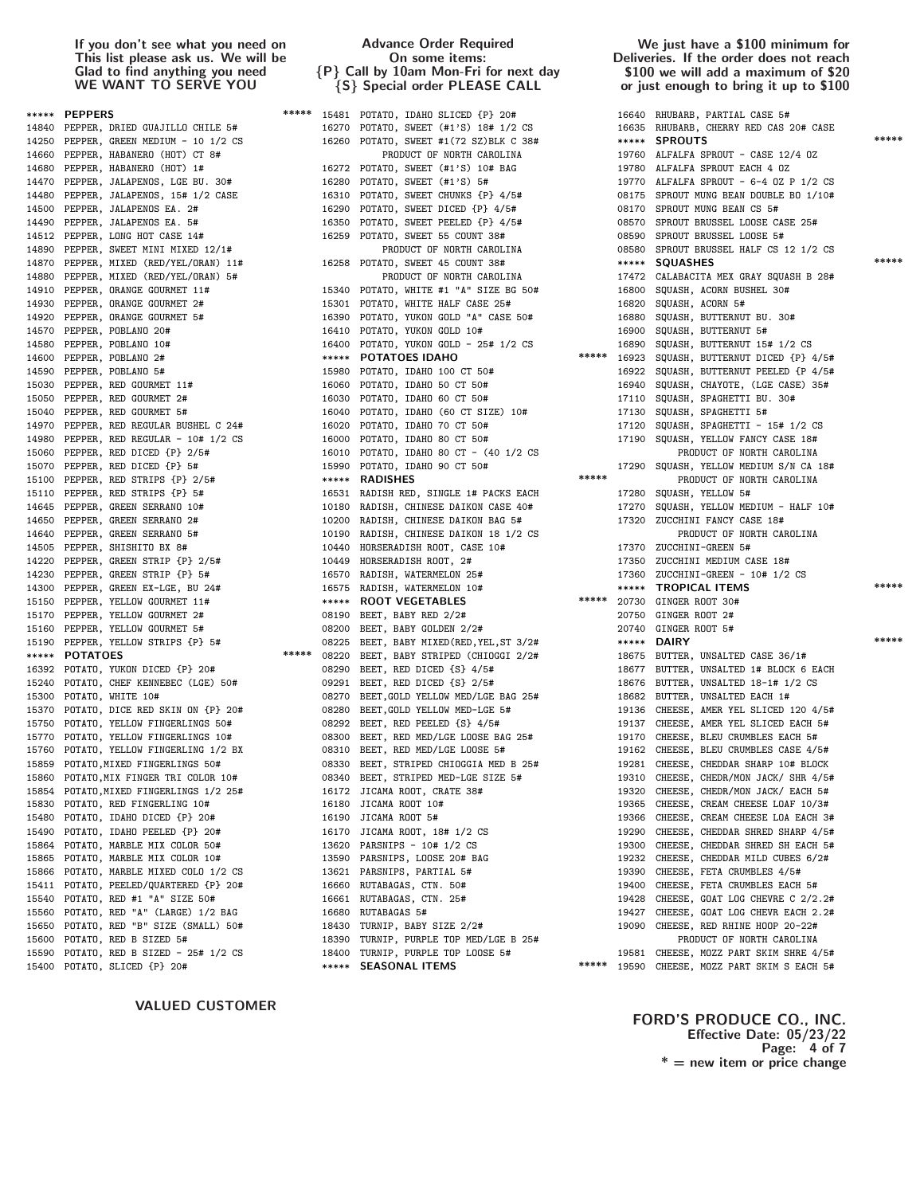15150 PEPPER, YELLOW GOURMET 11# \*\*\*\*\* ROOT VEGETABLES<br>15170 PEPPER, YELLOW GOURMET 2# 08190 BEET, BABY RED 2/2#

# Advance Order Required On some items: {P} Call by 10am Mon-Fri for next day {S} Special order PLEASE CALL

\*\*\*\*\* PEPPERS \*\*\*\*\* 15481 POTATO, IDAHO SLICED {P} 20# 16640 RHUBARB, PARTIAL CASE 5# 14840 PEPPER, DRIED GUAJILLO CHILE 5# 16270 POTATO, SWEET (#1'S) 18# 1/2 CS 16635 RHUBARB, CHERRY RED CAS 20# CASE 14250 PEPPER, GREEN MEDIUM - 10 1/2 CS 16260 POTATO, SWEET #1(72 SZ)BLK C 38# \*\*\*\* SPROUTS 14660 PEPPER, HABANERO (HOT) CT 8# PRODUCT OF NORTH CAROLINA 19760 ALFALFA SPROUT - CASE 12/4 OZ 14680 PEPPER, HABANERO (HOT) 1# 16272 POTATO, SWEET (#1'S) 10# BAG 19780 ALFALFA SPROUT EACH 4 OZ 14470 PEPPER, JALAPENOS, LGE BU. 30# 16280 POTATO, SWEET (#1'S) 5# 19770 ALFALFA SPROUT - 6-4 OZ P 1/2 CS 14480 PEPPER, JALAPENOS, 15# 1/2 CASE 16310 POTATO, SWEET CHUNKS {P} 4/5# 08175 SPROUT MUNG BEAN DOUBLE BO 1/10# 14500 PEPPER, JALAPENOS EA. 2# 16290 POTATO, SWEET DICED {P} 4/5# 08170 SPROUT MUNG BEAN CS 5# 14490 PEPPER, JALAPENOS EA. 5# 16350 POTATO, SWEET PEELED {P} 4/5# 08570 SPROUT BRUSSEL LOOSE CASE 25# 14512 PEPPER, LONG HOT CASE 14# 16259 POTATO, SWEET 55 COUNT 38# 08590 SPROUT BRUSSEL LOOSE 5# 14890 PEPPER, SWEET MINI MIXED 12/1# PRODUCT OF NORTH CAROLINA 08580 SPROUT BRUSSEL HALF CS 12 1/2 CS 14880 PEPPER, MIXED (RED/YEL/ORAN) 5# PRODUCT OF NORTH CAROLINA 17472 CALABACITA MEX GRAY SQUASH B 28# 15340 POTATO, WHITE #1 "A" SIZE BG 50# 16800 SQUASH, ACORN BUSHEL 30# 14930 PEPPER, ORANGE GOURMET 2# 15301 POTATO, WHITE HALF CASE 25# 16820 SQUASH, ACORN 5# 14920 PEPPER, ORANGE GOURMET 5# 16390 POTATO, YUKON GOLD "A" CASE 50# 16880 SQUASH, BUTTERNUT BU. 30# 14570 PEPPER, POBLANO 20# 16410 POTATO, YUKON GOLD 10# 16900 SQUASH, BUTTERNUT 5# 14580 PEPPER, POBLANO 10# 16400 POTATO, YUKON GOLD - 25# 1/2 CS 16890 SQUASH, BUTTERNUT 15# 1/2 CS 14600 PEPPER, POBLANO 2# \*\*\*\*\* POTATOES IDAHO \*\*\*\*\* 16923 SQUASH, BUTTERNUT DICED {P} 4/5# 15030 PEPPER, RED GOURMET 11# 16060 POTATO, IDAHO 50 CT 50# 16940 SQUASH, CHAYOTE, (LGE CASE) 35# 15050 PEPPER, RED GOURMET 2# 16030 POTATO, IDAHO 60 CT 50# 17110 SQUASH, SPAGHETTI BU. 30# 15040 PEPPER, RED GOURMET 5# 16040 POTATO, IDAHO (60 CT SIZE) 10# 17130 SQUASH, SPAGHETTI 5# 14970 PEPPER, RED REGULAR BUSHEL C 24# 16020 POTATO, IDAHO 70 CT 50# 17120 SQUASH, SPAGHETTI - 15# 1/2 CS 14980 PEPPER, RED REGULAR - 10# 1/2 CS 16000 POTATO, IDAHO 80 CT 50# 17190 SQUASH, YELLOW FANCY CASE 18# 15060 PEPPER, RED DICED {P} 2/5# 16010 POTATO, IDAHO 80 CT - (40 1/2 CS PRODUCT OF NORTH CAROLINA 15070 PEPPER, RED DICED {P} 5# 15990 POTATO, IDAHO 90 CT 50# 17290 SQUASH, YELLOW MEDIUM S/N CA 18# 15100 PEPPER, RED STRIPS {P} 2/5# \*\*\*\*\* RADISHES \*\*\*\*\* \*\*\*\* \*\*\*\* PRODUCT OF NORTH CAROLINA 15110 PEPPER, RED STRIPS {P} 5# 16531 RADISH RED, SINGLE 1# PACKS EACH 17280 SQUASH, YELLOW 5# %14645 PEPPER, GREEN SERRANO 10# 10180 RADISH, CHINESE DAIKON CASE 40# 17270 SQUASH, YELLOW MEDIUM - HALF 10<br>14650 PEPPER, GREEN SERRANO 2# 10200 RADISH, CHINESE DAIKON BAG 5# 17320 ZUCCHINI FANCY CASE 18# 10200 RADISH, CHINESE DAIKON BAG 5# 17320 ZUCCHINI FANCY CASE 18# 14640 PEPPER, GREEN SERRANO 5# 10190 RADISH, CHINESE DAIKON 18 1/2 CS PRODUCT OF NORTH CAROLINA 14505 PEPPER, SHISHITO BX 8# 10440 HORSERADISH ROOT, CASE 10# 17370 ZUCCHINI-GREEN 5# 14220 PEPPER, GREEN STRIP {P} 2/5# 10449 HORSERADISH ROOT, 2# 17350 ZUCCHINI MEDIUM CASE 18# 14230 PEPPER, GREEN STRIP {P} 5# 16570 RADISH, WATERMELON 25# 17360 ZUCCHINI-GREEN - 10# 1/2 CS 15170 PEPPER, YELLOW GOURMET 2# 08190 BEET, BABY RED 2/2# 20750 GINGER ROOT 2# 15160 PEPPER, YELLOW GOURMET 5# 08200 BEET, BABY GOLDEN 2/2# 20740 GINGER ROOT 5# \*\*\*\*\* POTATOES \*\*\*\*\*\* 08220 BEET, BABY STRIPED (CHIOGGI 2/2# 18675 BUTTER, UNSALTED CASE 36/1# 16392 POTATO, YUKON DICED {P} 20# 08290 BEET, RED DICED {S} 4/5# 18677 BUTTER, UNSALTED 1# BLOCK 6 EACH 15240 POTATO, CHEF KENNEBEC (LGE) 50# 09291 BEET, RED DICED {S} 2/5# 18676 BUTTER, UNSALTED 18-1# 1/2 CS 15300 POTATO, WHITE 10# 08270 BEET,GOLD YELLOW MED/LGE BAG 25# 18682 BUTTER, UNSALTED EACH 1# 15370 POTATO, DICE RED SKIN ON {P} 20# 08280 BEET,GOLD YELLOW MED-LGE 5# 19136 CHEESE, AMER YEL SLICED 120 4/5# 15750 POTATO, YELLOW FINGERLINGS 50# 08292 BEET, RED PEELED {S} 4/5# 19137 CHEESE, AMER YEL SLICED EACH 5# 15770 POTATO, YELLOW FINGERLINGS 10# 08300 BEET, RED MED/LGE LOOSE BAG 25# 19170 CHEESE, BLEU CRUMBLES EACH 5# 15760 POTATO, YELLOW FINGERLING 1/2 BX 08310 BEET, RED MED/LGE LOOSE 5# 19162 CHEESE, BLEU CRUMBLES CASE 4/5# 15859 POTATO,MIXED FINGERLINGS 50# 08330 BEET, STRIPED CHIOGGIA MED B 25# 19281 CHEESE, CHEDDAR SHARP 10# BLOCK 15860 POTATO,MIX FINGER TRI COLOR 10# 08340 BEET, STRIPED MED-LGE SIZE 5# 19310 CHEESE, CHEDR/MON JACK/ SHR 4/5# 15854 POTATO,MIXED FINGERLINGS 1/2 25# 16172 JICAMA ROOT, CRATE 38# 19320 CHEESE, CHEDR/MON JACK/ EACH 5# 15830 POTATO, RED FINGERLING 10# 16180 JICAMA ROOT 10# 19365 CHEESE, CREAM CHEESE LOAF 10/3# 15480 POTATO, IDAHO DICED {P} 20# 16190 JICAMA ROOT 5# 19366 CHEESE, CREAM CHEESE LOA EACH 3# 15490 POTATO, IDAHO PEELED {P} 20# 16170 JICAMA ROOT, 18# 1/2 CS 19290 CHEESE, CHEDDAR SHRED SHARP 4/5# 15864 POTATO, MARBLE MIX COLOR 50# 13620 PARSNIPS - 10# 1/2 CS 19300 CHEESE, CHEDDAR SHRED SH EACH 5# 15865 POTATO, MARBLE MIX COLOR 10# 13590 PARSNIPS, LOOSE 20# BAG 19232 CHEESE, CHEDDAR MILD CUBES 6/2# 15866 POTATO, MARBLE MIXED COLO 1/2 CS 13621 PARSNIPS, PARTIAL 5# 19390 CHEESE, FETA CRUMBLES 4/5# 15411 POTATO, PEELED/QUARTERED {P} 20# 16660 RUTABAGAS, CTN. 50# 19400 CHEESE, FETA CRUMBLES EACH 5# 15540 POTATO, RED #1 "A" SIZE 50# 16661 RUTABAGAS, CTN. 25# 19428 CHEESE, GOAT LOG CHEVRE C 2/2.2# 15560 POTATO, RED "A" (LARGE) 1/2 BAG 16680 RUTABAGAS 5# 19427 CHEESE, GOAT LOG CHEVR EACH 2.2# 15650 POTATO, RED "B" SIZE (SMALL) 50# 18430 TURNIP, BABY SIZE 2/2# 19090 CHEESE, RED RHINE HOOP 20-22# 15600 POTATO, RED B SIZED 5# 1/2 CS 15390 TURNIP, PURPLE TOP MED/LGE B 25# PRODUCT OF NORTH CAROLINA<br>15590 POTATO, RED B SIZED - 25# 1/2 CS 15400 TURNIP, PURPLE TOP LOOSE 5# 19581 CHEESE, MOZZ PART SKIM SHRE 4 15400 POTATO, SLICED {P} 20# \*\*\*\*\* SEASONAL ITEMS \*\*\*\*\* 19590 CHEESE, MOZZ PART SKIM S EACH 5#

### We just have a \$100 minimum for Deliveries. If the order does not reach \$100 we will add a maximum of \$20 or just enough to bring it up to \$100

14870 PEPPER, MIXED (RED/YEL/ORAN) 11# 16258 POTATO, SWEET 45 COUNT 38# \*\*\*\*\* SQUASHES \*\*\*\*\* 16922 SQUASH, BUTTERNUT PEELED {P 4/5# 14300 PEPPER, GREEN EX-LGE, BU 24# 16575 RADISH, WATERMELON 10# \*\*\*\*\* **TROPICAL ITEMS** \*\*\*\*\*<br>15150 PEPPER, YELLOW GOURMET 11# \*\*\*\*\* ROOT VEGETABLES \*\*\*\*\*\* 20730 GINGER ROOT 30# 15190 PEPPER, YELLOW STRIPS {P} 5# 08225 BEET, BABY MIXED(RED,YEL,ST 3/2# \*\*\*\*\* DAIRY 19581 CHEESE, MOZZ PART SKIM SHRE 4/5#

# VALUED CUSTOMER

FORD'S PRODUCE CO., INC. Effective Date: 05/23/22 Page: 4 of 7  $* =$  new item or price change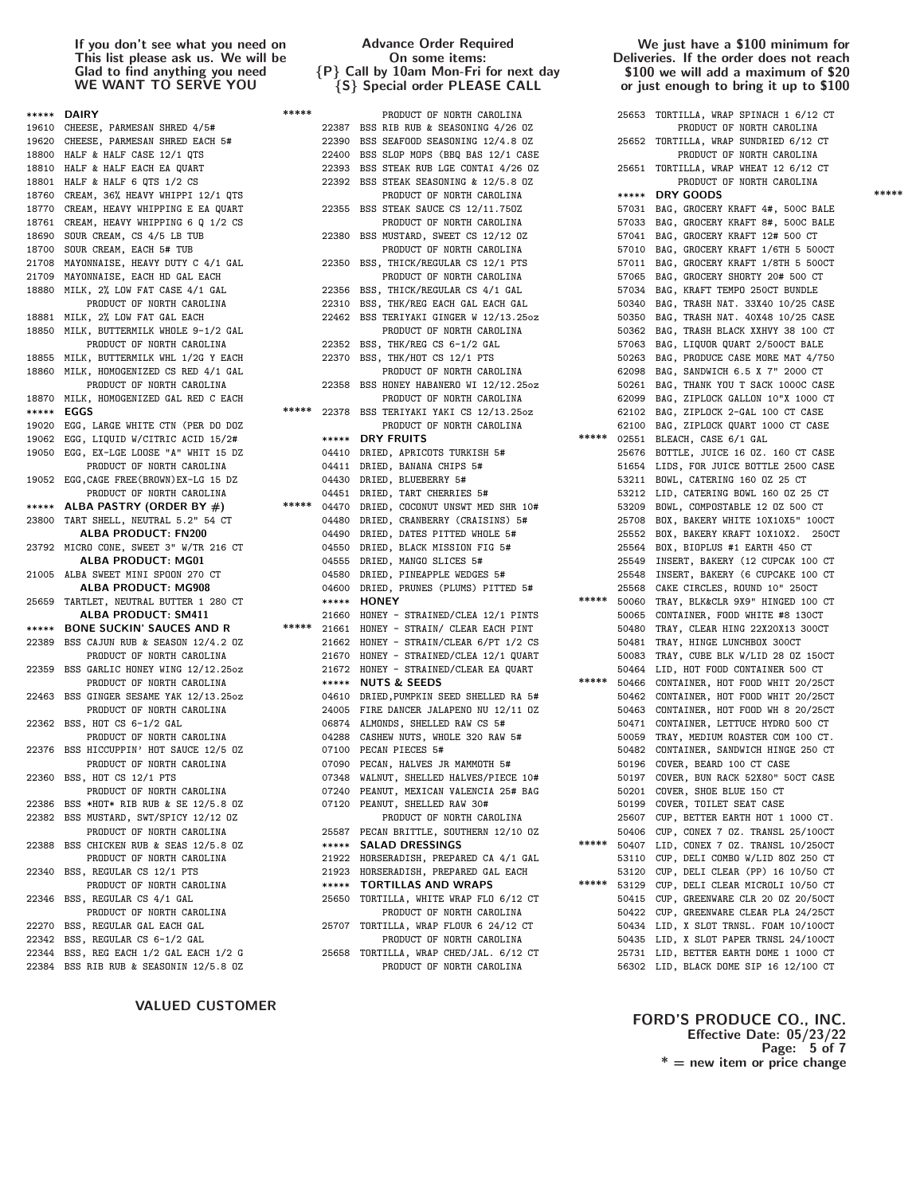|       | ***** DAIRY                              | ***** |             | PRODUCT OF NORTH CAROLINA               |       |       | 25653 TORTILLA, WRAP SPINACH 1 6/12 CT |
|-------|------------------------------------------|-------|-------------|-----------------------------------------|-------|-------|----------------------------------------|
|       | 19610 CHEESE, PARMESAN SHRED 4/5#        |       |             | 22387 BSS RIB RUB & SEASONING 4/26 OZ   |       |       | PRODUCT OF NORTH CAROLINA              |
|       | 19620 CHEESE, PARMESAN SHRED EACH 5#     |       | 22390       | BSS SEAFOOD SEASONING 12/4.8 OZ         |       |       | 25652 TORTILLA, WRAP SUNDRIED 6/12 CT  |
|       | 18800 HALF & HALF CASE 12/1 QTS          |       | 22400       | BSS SLOP MOPS (BBQ BAS 12/1 CASE        |       |       | PRODUCT OF NORTH CAROLINA              |
|       | 18810 HALF & HALF EACH EA QUART          |       | 22393       | BSS STEAK RUB LGE CONTAI 4/26 OZ        |       |       | 25651 TORTILLA, WRAP WHEAT 12 6/12 CT  |
|       | 18801 HALF & HALF 6 QTS 1/2 CS           |       | 22392       | BSS STEAK SEASONING & 12/5.8 OZ         |       |       | PRODUCT OF NORTH CAROLINA              |
|       | 18760 CREAM, 36% HEAVY WHIPPI 12/1 QTS   |       |             | PRODUCT OF NORTH CAROLINA               |       |       | ***** DRY GOODS                        |
|       | 18770 CREAM, HEAVY WHIPPING E EA QUART   |       | 22355       | BSS STEAK SAUCE CS 12/11.750Z           |       |       | 57031 BAG, GROCERY KRAFT 4#, 500C BALE |
|       | 18761 CREAM, HEAVY WHIPPING 6 Q 1/2 CS   |       |             | PRODUCT OF NORTH CAROLINA               |       |       | 57033 BAG, GROCERY KRAFT 8#, 500C BALE |
|       | 18690 SOUR CREAM, CS 4/5 LB TUB          |       | 22380       | BSS MUSTARD, SWEET CS 12/12 OZ          |       |       | 57041 BAG, GROCERY KRAFT 12# 500 CT    |
|       | 18700 SOUR CREAM, EACH 5# TUB            |       |             | PRODUCT OF NORTH CAROLINA               |       |       | 57010 BAG, GROCERY KRAFT 1/6TH 5 500CT |
|       |                                          |       |             | 22350 BSS, THICK/REGULAR CS 12/1 PTS    |       |       |                                        |
|       | 21708 MAYONNAISE, HEAVY DUTY C 4/1 GAL   |       |             |                                         |       |       | 57011 BAG, GROCERY KRAFT 1/8TH 5 500CT |
|       | 21709 MAYONNAISE, EACH HD GAL EACH       |       |             | PRODUCT OF NORTH CAROLINA               |       |       | 57065 BAG, GROCERY SHORTY 20# 500 CT   |
|       | 18880 MILK, 2% LOW FAT CASE 4/1 GAL      |       | 22356       | BSS, THICK/REGULAR CS 4/1 GAL           |       |       | 57034 BAG, KRAFT TEMPO 250CT BUNDLE    |
|       | PRODUCT OF NORTH CAROLINA                |       |             | 22310 BSS, THK/REG EACH GAL EACH GAL    |       |       | 50340 BAG, TRASH NAT. 33X40 10/25 CASE |
|       | 18881 MILK, 2% LOW FAT GAL EACH          |       |             | 22462 BSS TERIYAKI GINGER W 12/13.25oz  |       |       | 50350 BAG, TRASH NAT. 40X48 10/25 CASE |
|       | 18850 MILK, BUTTERMILK WHOLE 9-1/2 GAL   |       |             | PRODUCT OF NORTH CAROLINA               |       |       | 50362 BAG, TRASH BLACK XXHVY 38 100 CT |
|       | PRODUCT OF NORTH CAROLINA                |       |             | 22352 BSS, THK/REG CS 6-1/2 GAL         |       |       | 57063 BAG, LIQUOR QUART 2/500CT BALE   |
|       | 18855 MILK, BUTTERMILK WHL 1/2G Y EACH   |       | 22370       | BSS, THK/HOT CS 12/1 PTS                |       |       | 50263 BAG, PRODUCE CASE MORE MAT 4/750 |
|       | 18860 MILK, HOMOGENIZED CS RED 4/1 GAL   |       |             | PRODUCT OF NORTH CAROLINA               |       |       | 62098 BAG, SANDWICH 6.5 X 7" 2000 CT   |
|       | PRODUCT OF NORTH CAROLINA                |       |             | 22358 BSS HONEY HABANERO WI 12/12.25oz  |       |       | 50261 BAG, THANK YOU T SACK 1000C CASE |
|       | 18870 MILK, HOMOGENIZED GAL RED C EACH   |       |             | PRODUCT OF NORTH CAROLINA               |       | 62099 | BAG, ZIPLOCK GALLON 10"X 1000 CT       |
|       | ***** EGGS                               | ***** | 22378       | BSS TERIYAKI YAKI CS 12/13.25oz         |       |       | 62102 BAG, ZIPLOCK 2-GAL 100 CT CASE   |
|       | 19020 EGG, LARGE WHITE CTN (PER DO DOZ   |       |             | PRODUCT OF NORTH CAROLINA               |       |       | 62100 BAG, ZIPLOCK QUART 1000 CT CASE  |
|       | 19062 EGG, LIQUID W/CITRIC ACID 15/2#    |       | *****       | <b>DRY FRUITS</b>                       | ***** |       | 02551 BLEACH, CASE 6/1 GAL             |
|       | 19050 EGG, EX-LGE LOOSE "A" WHIT 15 DZ   |       | 04410       | DRIED, APRICOTS TURKISH 5#              |       |       | 25676 BOTTLE, JUICE 16 0Z. 160 CT CASE |
|       | PRODUCT OF NORTH CAROLINA                |       |             | 04411 DRIED, BANANA CHIPS 5#            |       |       | 51654 LIDS, FOR JUICE BOTTLE 2500 CASE |
|       | 19052 EGG, CAGE FREE (BROWN) EX-LG 15 DZ |       | 04430       | DRIED, BLUEBERRY 5#                     |       |       | 53211 BOWL, CATERING 160 0Z 25 CT      |
|       | PRODUCT OF NORTH CAROLINA                |       |             | 04451 DRIED, TART CHERRIES 5#           |       |       | 53212 LID, CATERING BOWL 160 OZ 25 CT  |
|       | ***** ALBA PASTRY (ORDER BY $#$ )        | ***** | 04470       | DRIED, COCONUT UNSWT MED SHR 10#        |       |       | 53209 BOWL, COMPOSTABLE 12 OZ 500 CT   |
|       | 23800 TART SHELL, NEUTRAL 5.2" 54 CT     |       | 04480       | DRIED, CRANBERRY (CRAISINS) 5#          |       |       | 25708 BOX, BAKERY WHITE 10X10X5" 100CT |
|       | <b>ALBA PRODUCT: FN200</b>               |       | 04490       | DRIED, DATES PITTED WHOLE 5#            |       |       | 25552 BOX, BAKERY KRAFT 10X10X2. 2500  |
|       |                                          |       |             |                                         |       |       |                                        |
|       | 23792 MICRO CONE, SWEET 3" W/TR 216 CT   |       | 04550       | DRIED, BLACK MISSION FIG 5#             |       |       | 25564 BOX, BIOPLUS #1 EARTH 450 CT     |
|       | ALBA PRODUCT: MG01                       |       | 04555       | DRIED, MANGO SLICES 5#                  |       |       | 25549 INSERT, BAKERY (12 CUPCAK 100 CT |
|       | 21005 ALBA SWEET MINI SPOON 270 CT       |       | 04580       | DRIED, PINEAPPLE WEDGES 5#              |       |       | 25548 INSERT, BAKERY (6 CUPCAKE 100 CT |
|       | ALBA PRODUCT: MG908                      |       | 04600       | DRIED, PRUNES (PLUMS) PITTED 5#         |       |       | 25568 CAKE CIRCLES, ROUND 10" 250CT    |
|       | 25659 TARTLET, NEUTRAL BUTTER 1 280 CT   |       | $*****$     | <b>HONEY</b>                            | ***** |       | 50060 TRAY, BLK&CLR 9X9" HINGED 100 CT |
|       | <b>ALBA PRODUCT: SM411</b>               |       | 21660       | HONEY - STRAINED/CLEA 12/1 PINTS        |       |       | 50065 CONTAINER, FOOD WHITE #8 130CT   |
|       | ***** BONE SUCKIN' SAUCES AND R          |       | ***** 21661 | HONEY - STRAIN/ CLEAR EACH PINT         |       |       | 50480 TRAY, CLEAR HING 22X20X13 300CT  |
|       | 22389 BSS CAJUN RUB & SEASON 12/4.2 0Z   |       |             | 21662 HONEY - STRAIN/CLEAR 6/PT 1/2 CS  |       |       | 50481 TRAY, HINGE LUNCHBOX 300CT       |
|       | PRODUCT OF NORTH CAROLINA                |       | 21670       | HONEY - STRAINED/CLEA 12/1 QUART        |       |       | 50083 TRAY, CUBE BLK W/LID 28 0Z 150CT |
|       | 22359 BSS GARLIC HONEY WING 12/12.25oz   |       |             | 21672 HONEY - STRAINED/CLEAR EA QUART   |       |       | 50464 LID, HOT FOOD CONTAINER 500 CT   |
|       | PRODUCT OF NORTH CAROLINA                |       | $*****$     | <b>NUTS &amp; SEEDS</b>                 | ***** |       | 50466 CONTAINER, HOT FOOD WHIT 20/25CT |
|       | 22463 BSS GINGER SESAME YAK 12/13.25oz   |       |             | 04610 DRIED, PUMPKIN SEED SHELLED RA 5# |       |       | 50462 CONTAINER, HOT FOOD WHIT 20/25CT |
|       | PRODUCT OF NORTH CAROLINA                |       |             | 24005 FIRE DANCER JALAPENO NU 12/11 0Z  |       |       | 50463 CONTAINER, HOT FOOD WH 8 20/25CT |
|       | 22362 BSS, HOT CS 6-1/2 GAL              |       |             | 06874 ALMONDS, SHELLED RAW CS 5#        |       |       | 50471 CONTAINER, LETTUCE HYDRO 500 CT  |
|       | PRODUCT OF NORTH CAROLINA                |       | 04288       | CASHEW NUTS, WHOLE 320 RAW 5#           |       |       | 50059 TRAY, MEDIUM ROASTER COM 100 CT. |
|       | 22376 BSS HICCUPPIN' HOT SAUCE 12/5 OZ   |       | 07100       | PECAN PIECES 5#                         |       |       | 50482 CONTAINER, SANDWICH HINGE 250 CT |
|       | PRODUCT OF NORTH CAROLINA                |       |             | 07090 PECAN, HALVES JR MAMMOTH 5#       |       |       | 50196 COVER, BEARD 100 CT CASE         |
|       | 22360 BSS, HOT CS 12/1 PTS               |       |             | 07348 WALNUT, SHELLED HALVES/PIECE 10#  |       |       | 50197 COVER, BUN RACK 52X80" 50CT CASE |
|       | PRODUCT OF NORTH CAROLINA                |       |             | 07240 PEANUT, MEXICAN VALENCIA 25# BAG  |       |       | 50201 COVER, SHOE BLUE 150 CT          |
|       | 22386 BSS *HOT* RIB RUB & SE 12/5.8 OZ   |       | 07120       | PEANUT, SHELLED RAW 30#                 |       |       | 50199 COVER, TOILET SEAT CASE          |
| 22382 | BSS MUSTARD, SWT/SPICY 12/12 OZ          |       |             | PRODUCT OF NORTH CAROLINA               |       |       | 25607 CUP, BETTER EARTH HOT 1 1000 CT. |
|       | PRODUCT OF NORTH CAROLINA                |       | 25587       | PECAN BRITTLE, SOUTHERN 12/10 OZ        |       |       | 50406 CUP, CONEX 7 0Z. TRANSL 25/100CT |
|       |                                          |       | *****       | <b>SALAD DRESSINGS</b>                  | ***** |       |                                        |
|       | 22388 BSS CHICKEN RUB & SEAS 12/5.8 OZ   |       |             |                                         |       |       | 50407 LID, CONEX 7 0Z. TRANSL 10/250CT |
|       | PRODUCT OF NORTH CAROLINA                |       | 21922       | HORSERADISH, PREPARED CA 4/1 GAL        |       |       | 53110 CUP, DELI COMBO W/LID 80Z 250 CT |
| 22340 | BSS, REGULAR CS 12/1 PTS                 |       | 21923       | HORSERADISH, PREPARED GAL EACH          | ***** |       | 53120 CUP, DELI CLEAR (PP) 16 10/50 CT |
|       | PRODUCT OF NORTH CAROLINA                |       | *****       | <b>TORTILLAS AND WRAPS</b>              |       |       | 53129 CUP, DELI CLEAR MICROLI 10/50 CT |
|       | 22346 BSS, REGULAR CS 4/1 GAL            |       | 25650       | TORTILLA, WHITE WRAP FLO 6/12 CT        |       |       | 50415 CUP, GREENWARE CLR 20 OZ 20/50CT |
|       | PRODUCT OF NORTH CAROLINA                |       |             | PRODUCT OF NORTH CAROLINA               |       |       | 50422 CUP, GREENWARE CLEAR PLA 24/25CT |
|       | 22270 BSS, REGULAR GAL EACH GAL          |       | 25707       | TORTILLA, WRAP FLOUR 6 24/12 CT         |       |       | 50434 LID, X SLOT TRNSL. FOAM 10/100CT |
|       | 22342 BSS, REGULAR CS 6-1/2 GAL          |       |             | PRODUCT OF NORTH CAROLINA               |       |       | 50435 LID, X SLOT PAPER TRNSL 24/100CT |
|       | 22344 BSS, REG EACH 1/2 GAL EACH 1/2 G   |       | 25658       | TORTILLA, WRAP CHED/JAL. 6/12 CT        |       |       | 25731 LID, BETTER EARTH DOME 1 1000 CT |
|       | 22384 BSS RIB RUB & SEASONIN 12/5.8 0Z   |       |             | PRODUCT OF NORTH CAROLINA               |       |       | 56302 LID. BLACK DOME SIP 16 12/100 CT |

VALUED CUSTOMER

# Advance Order Required On some items: {P} Call by 10am Mon-Fri for next day {S} Special order PLEASE CALL

### We just have a \$100 minimum for Deliveries. If the order does not reach \$100 we will add a maximum of \$20 or just enough to bring it up to \$100

| PRODUCT OF NORTH CAROLINA                                                                                                                                                                                                |       | 25653 TORTILLA, WRAP SPINACH 1 6/12 CT                                           |       |
|--------------------------------------------------------------------------------------------------------------------------------------------------------------------------------------------------------------------------|-------|----------------------------------------------------------------------------------|-------|
|                                                                                                                                                                                                                          |       |                                                                                  |       |
|                                                                                                                                                                                                                          |       |                                                                                  |       |
|                                                                                                                                                                                                                          |       |                                                                                  |       |
| SEAFOOD SEASONING 12/4.8 OZ<br>SLOP MOPS (BBQ BAS 12/1 CASE 25652 TORTILLA, WRAP SUNDRIED 6/12 CT<br>STEAK RUB LGE CONTAINATION CONTROLLED BASE 2011 CASE PRODUCT OF MORTH                                               |       | 25651 TORTILLA, WRAP WHEAT 12 6/12 CT                                            |       |
| STEAK RUB LGE CONTAI 4/26 OZ<br>STEAK SEASONING & 12/5.8 OZ                                                                                                                                                              |       | PRODUCT OF NORTH CAROLINA                                                        |       |
|                                                                                                                                                                                                                          |       | ENGLOST                                                                          | ***** |
| <b>FRODUCI OF NURTH CAROLINA</b><br>STEAK SAUCE CS 12/11.750Z                                                                                                                                                            |       |                                                                                  |       |
| PRODUCT OF NORTH CAROLINA                                                                                                                                                                                                |       | 57031 BAG, GROCERY KRAFT 4#, 500C BALE<br>57033 BAG, GROCERY KRAFT 8#, 500C BALE |       |
| MUSTARD, SWEET CS 12/12 0Z                                                                                                                                                                                               |       | 57041 BAG, GROCERY KRAFT 12# 500 CT                                              |       |
|                                                                                                                                                                                                                          |       | 57010 BAG, GROCERY KRAFT 1/6TH 5 500CT                                           |       |
| PRODUCT OF NORTH CAROLINA<br>THICK/REGULAR CS 12/1 PTS                                                                                                                                                                   |       | 57011 BAG, GROCERY KRAFT 1/8TH 5 500CT                                           |       |
|                                                                                                                                                                                                                          |       |                                                                                  |       |
| PRODUCT OF NORTH CAROLINA<br>, THICK/REGULAR CS 4/1 GAL                                                                                                                                                                  |       | 57065 BAG, GROCERY SHORTY 20# 500 CT                                             |       |
|                                                                                                                                                                                                                          |       | 57034 BAG, KRAFT TEMPO 250CT BUNDLE                                              |       |
| , THK/REG EACH GAL EACH GAL                                                                                                                                                                                              |       | 50340 BAG, TRASH NAT. 33X40 10/25 CASE                                           |       |
| TERIYAKI GINGER W 12/13.25oz                                                                                                                                                                                             |       | 50350 BAG, TRASH NAT. 40X48 10/25 CASE                                           |       |
| PRODUCT OF NORTH CAROLINA                                                                                                                                                                                                |       | 50362 BAG, TRASH BLACK XXHVY 38 100 CT                                           |       |
| , THK/REG CS 6-1/2 GAL                                                                                                                                                                                                   |       | 57063 BAG, LIQUOR QUART 2/500CT BALE                                             |       |
| , THK/HOT CS 12/1 PTS<br>PRODUCT OF NORTH CAROLINA                                                                                                                                                                       |       | 50263 BAG, PRODUCE CASE MORE MAT 4/750<br>62098 BAG, SANDWICH 6.5 X 7" 2000 CT   |       |
|                                                                                                                                                                                                                          |       |                                                                                  |       |
| HONEY HABANERO WI 12/12.25oz<br>PRODUCT OF NORTH CAROLINA                                                                                                                                                                |       | 50261 BAG, THANK YOU T SACK 1000C CASE                                           |       |
|                                                                                                                                                                                                                          |       | 62099 BAG, ZIPLOCK GALLON 10"X 1000 CT                                           |       |
| TERIYAKI YAKI CS 12/13.25oz                                                                                                                                                                                              |       | 62102 BAG, ZIPLOCK 2-GAL 100 CT CASE                                             |       |
| PRODUCT OF NORTH CAROLINA                                                                                                                                                                                                |       | 62100 BAG, ZIPLOCK QUART 1000 CT CASE                                            |       |
| Y FRUITS                                                                                                                                                                                                                 |       | ***** 02551 BLEACH, CASE 6/1 GAL                                                 |       |
| ED, APRICOTS TURKISH 5#                                                                                                                                                                                                  |       | 25676 BOTTLE, JUICE 16 0Z. 160 CT CASE                                           |       |
| ED, BANANA CHIPS 5#                                                                                                                                                                                                      |       | 51654 LIDS, FOR JUICE BOTTLE 2500 CASE                                           |       |
| ED, BLUEBERRY 5#                                                                                                                                                                                                         |       | 53211 BOWL, CATERING 160 0Z 25 CT                                                |       |
| ED, TART CHERRIES 5#                                                                                                                                                                                                     |       | 53212 LID, CATERING BOWL 160 0Z 25 CT                                            |       |
|                                                                                                                                                                                                                          |       | 53209 BOWL, COMPOSTABLE 12 OZ 500 CT<br>25708 BOX, BAKERY WHITE 10X10X5" 100CT   |       |
| ED, COCONUT UNSWT MED SHR 10#<br>ED, CRANBERRY (CRAISINS) 5#<br>ED, DATES PITTED WHOLE 5#<br>PD, DATES PITTED WHOLE 5#                                                                                                   |       |                                                                                  |       |
|                                                                                                                                                                                                                          |       | 25552 BOX, BAKERY KRAFT 10X10X2. 250CT<br>25564 BOX, BIOPLUS #1 EARTH 450 CT     |       |
| ED, BLACK MISSION FIG 5#                                                                                                                                                                                                 |       |                                                                                  |       |
| ED, MANGO SLICES 5#                                                                                                                                                                                                      |       | 25549 INSERT, BAKERY (12 CUPCAK 100 CT                                           |       |
| ED, PINEAPPLE WEDGES 5#                                                                                                                                                                                                  |       | 25548 INSERT, BAKERY (6 CUPCAKE 100 CT                                           |       |
| ED, PRUNES (PLUMS) PITTED 5#                                                                                                                                                                                             |       | 25568 CAKE CIRCLES, ROUND 10" 250CT                                              |       |
| NEY                                                                                                                                                                                                                      |       | ***** 50060 TRAY, BLK&CLR 9X9" HINGED 100 CT                                     |       |
| EY - STRAINED/CLEA 12/1 PINTS                                                                                                                                                                                            |       | 50065 CONTAINER, FOOD WHITE #8 130CT                                             |       |
| EY - STRAIN/ CLEAR EACH PINT                                                                                                                                                                                             |       | 50480 TRAY, CLEAR HING 22X20X13 300CT                                            |       |
| EY - STRAIN/CLEAR 6/PT 1/2 CS                                                                                                                                                                                            |       | 50481 TRAY, HINGE LUNCHBOX 300CT                                                 |       |
| EY - STRAINED/CLEA 12/1 QUART                                                                                                                                                                                            |       | 50083 TRAY, CUBE BLK W/LID 28 0Z 150CT                                           |       |
| EY - STRAINED/CLEAR EA QUART<br>IS A SEERS                                                                                                                                                                               |       | 50464 LID, HOT FOOD CONTAINER 500 CT                                             |       |
| TS & SEEDS                                                                                                                                                                                                               |       | ***** 50466 CONTAINER, HOT FOOD WHIT 20/25CT                                     |       |
| ED,PUMPKIN SEED SHELLED RA 5#                                                                                                                                                                                            |       | 50462 CONTAINER, HOT FOOD WHIT 20/25CT                                           |       |
|                                                                                                                                                                                                                          |       | 50463 CONTAINER, HOT FOOD WH 8 20/25CT                                           |       |
| E DANCER JALAPENO NU 12/11 OZ<br>ONDS. SHELLED RAW CS 5#<br>ONDS, SHELLED RAW CS 5#                                                                                                                                      |       |                                                                                  |       |
| HEW NUTS, WHOLE 320 RAW 5#<br>AN PIECES 5#                                                                                                                                                                               |       | 50471 CONTAINER, LETTUCE HYDRO 500 CT<br>50059 TRAY, MEDIUM ROASTER COM 100 CT.  |       |
|                                                                                                                                                                                                                          |       |                                                                                  |       |
| AN PIECES 5#<br>AN, HALVES JR MAMMOTH 5# 50482 CONTAINER, SANDWICH HINGE 250 CT<br>MUT, SHELLED HALVES/PIECE 10# 50196 COVER, BEARD 100 CT CASE<br>NUT, MITELIED HALVES/PIECE 10# 50197 COVER, BUN RACK 52880" 5007 CASE |       |                                                                                  |       |
|                                                                                                                                                                                                                          |       |                                                                                  |       |
| NUT, MEXICAN VALENCIA 25# BAG                                                                                                                                                                                            |       | 50201 COVER, SHOE BLUE 150 CT                                                    |       |
| NUT, SHELLED RAW 30#                                                                                                                                                                                                     |       | 50199 COVER, TOILET SEAT CASE                                                    |       |
| PRODUCT OF NORTH CAROLINA                                                                                                                                                                                                |       | 25607 CUP, BETTER EARTH HOT 1 1000 CT.                                           |       |
| AN BRITTLE, SOUTHERN 12/10 OZ                                                                                                                                                                                            |       | 50406 CUP, CONEX 7 0Z. TRANSL 25/100CT                                           |       |
| LAD DRESSINGS                                                                                                                                                                                                            | ***** | 50407 LID, CONEX 7 0Z. TRANSL 10/250CT                                           |       |
| SERADISH, PREPARED CA 4/1 GAL                                                                                                                                                                                            |       | 53110 CUP, DELI COMBO W/LID 80Z 250 CT                                           |       |
| SERADISH, PREPARED GAL EACH                                                                                                                                                                                              |       | 53120 CUP, DELI CLEAR (PP) 16 10/50 CT                                           |       |
| RTILLAS AND WRAPS                                                                                                                                                                                                        | ***** | 53129 CUP, DELI CLEAR MICROLI 10/50 CT                                           |       |
| TILLA, WHITE WRAP FLO 6/12 CT                                                                                                                                                                                            |       | 50415 CUP, GREENWARE CLR 20 0Z 20/50CT                                           |       |
| PRODUCT OF NORTH CAROLINA                                                                                                                                                                                                |       | 50422 CUP, GREENWARE CLEAR PLA 24/25CT                                           |       |
| TILLA, WRAP FLOUR 6 24/12 CT                                                                                                                                                                                             |       | 50434 LID, X SLOT TRNSL. FOAM 10/100CT                                           |       |
| PRODUCT OF NORTH CAROLINA                                                                                                                                                                                                |       | 50435 LID, X SLOT PAPER TRNSL 24/100CT                                           |       |
| TILLA, WRAP CHED/JAL. 6/12 CT                                                                                                                                                                                            |       | 25731 LID, BETTER EARTH DOME 1 1000 CT                                           |       |
|                                                                                                                                                                                                                          |       |                                                                                  |       |

# FORD'S PRODUCE CO., INC. Effective Date: 05/23/22 Page: 5 of 7  $* =$  new item or price change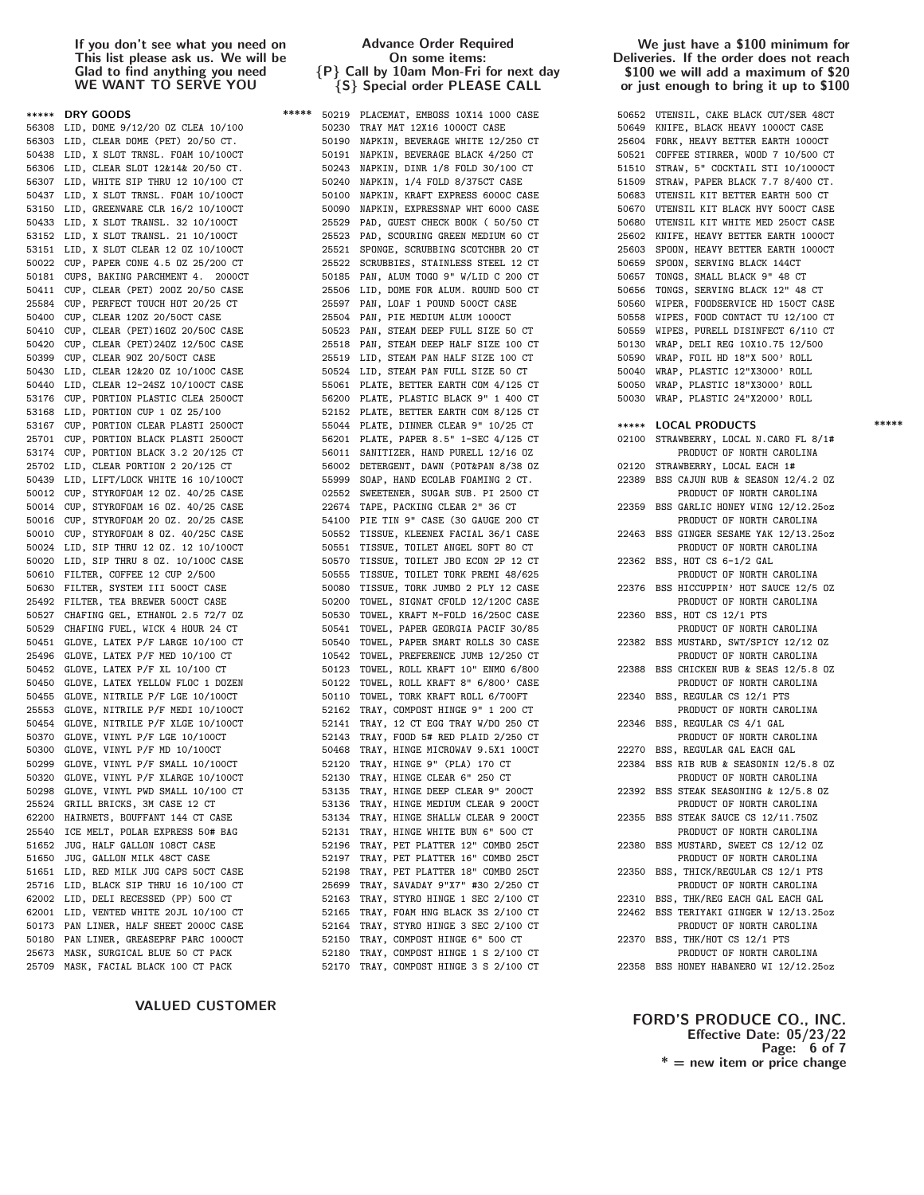| *****          | DRY GOODS                                                          |
|----------------|--------------------------------------------------------------------|
| 56308          | LID, DOME 9/12/20 OZ CLEA 10/100                                   |
| 56303          | LID, CLEAR DOME (PET) 20/50 CT.                                    |
| 50438          | LID, X SLOT TRNSL. FOAM 10/100CT                                   |
| 56306          | LID, CLEAR SLOT 12&14& 20/50 CT.                                   |
| 56307          | LID, WHITE SIP THRU 12 10/100 CT                                   |
| 50437          | LID, X SLOT TRNSL. FOAM 10/100CT                                   |
| 53150          | LID, GREENWARE CLR 16/2 10/100CT                                   |
| 50433          | LID, X SLOT TRANSL. 32 10/100CT                                    |
| 53152          | LID, X SLOT TRANSL. 21 10/100CT                                    |
| 53151          | LID, X SLOT CLEAR 12 OZ 10/100CT                                   |
| 50022          | CUP, PAPER CONE 4.5 0Z 25/200 CT                                   |
| 50181          | CUPS, BAKING PARCHMENT 4. 2000CT                                   |
| 50411          | CUP, CLEAR (PET) 200Z 20/50 CASE                                   |
| 25584          | CUP, PERFECT TOUCH HOT 20/25 CT                                    |
| 50400          | CUP, CLEAR 120Z 20/50CT CASE                                       |
| 50410          | CUP, CLEAR (PET)160Z 20/50C CASE                                   |
| 50420          | CUP, CLEAR (PET)240Z 12/50C CASE                                   |
| 50399          | CUP, CLEAR 90Z 20/50CT CASE                                        |
| 50430          | LID, CLEAR 12&20 0Z 10/100C CASE                                   |
| 50440          | LID, CLEAR 12-24SZ 10/100CT CASE                                   |
| 53176          | CUP, PORTION PLASTIC CLEA 2500CT                                   |
| 53168          | LID, PORTION CUP 1 0Z 25/100                                       |
| 53167          | CUP, PORTION CLEAR PLASTI 2500CT                                   |
| 25701          | CUP, PORTION BLACK PLASTI 2500CT                                   |
| 53174<br>25702 | CUP, PORTION BLACK 3.2 20/125 CT                                   |
| 50439          | LID, CLEAR PORTION 2 20/125 CT<br>LID, LIFT/LOCK WHITE 16 10/100CT |
| 50012          | CUP, STYROFOAM 12 OZ. 40/25 CASE                                   |
| 50014          | CUP, STYROFOAM 16 0Z. 40/25 CASE                                   |
| 50016          | CUP, STYROFOAM 20 0Z. 20/25 CASE                                   |
| 50010          | CUP, STYROFOAM 8 OZ. 40/25C CASE                                   |
| 50024          | LID, SIP THRU 12 0Z. 12 10/100CT                                   |
| 50020          | LID, SIP THRU 8 0Z. 10/100C CASE                                   |
| 50610          | FILTER, COFFEE 12 CUP 2/500                                        |
| 50630          | FILTER, SYSTEM III 500CT CASE                                      |
| 25492          | FILTER, TEA BREWER 500CT CASE                                      |
| 50527          | CHAFING GEL, ETHANOL 2.5 72/7 OZ                                   |
| 50529          | CHAFING FUEL, WICK 4 HOUR 24 CT                                    |
| 50451          | GLOVE, LATEX P/F LARGE 10/100 CT                                   |
| 25496          | GLOVE, LATEX P/F MED 10/100 CT                                     |
| 50452          | GLOVE, LATEX P/F XL 10/100 CT                                      |
| 50450          | GLOVE, LATEX YELLOW FLOC 1 DOZEN                                   |
| 50455          | GLOVE, NITRILE P/F LGE 10/100CT                                    |
| 25553          | GLOVE, NITRILE P/F MEDI 10/100CT                                   |
| 50454          | GLOVE, NITRILE P/F XLGE<br>10/100CT                                |
| 50370          | GLOVE, VINYL P/F LGE<br>10/100CT                                   |
| 50300          | GLOVE, VINYL P/F MD 10/100CT                                       |
|                | 50299 GLOVE, VINYL P/F SMALL 10/100CT                              |
| 50320          | GLOVE, VINYL P/F XLARGE 10/100CT                                   |
| 50298          | GLOVE, VINYL PWD SMALL 10/100 CT                                   |
| 25524          | GRILL BRICKS, 3M CASE 12 CT                                        |
| 62200          | HAIRNETS, BOUFFANT 144 CT CASE                                     |
| 25540          | ICE MELT, POLAR EXPRESS 50# BAG                                    |
| 51652          | JUG, HALF GALLON 108CT CASE                                        |
| 51650          | JUG, GALLON MILK 48CT CASE                                         |
| 51651<br>25716 | LID, RED MILK JUG CAPS 50CT CASE                                   |
| 62002          | LID, BLACK SIP THRU 16 10/100 CT                                   |
| 62001          | LID, DELI RECESSED (PP) 500 CT<br>LID, VENTED WHITE 20JL 10/100 CT |
| 50173          | PAN LINER, HALF SHEET 2000C CASE                                   |
| 50180          | PAN LINER, GREASEPRF PARC 1000CT                                   |
|                | 25673 MASK, SURGICAL BLUE 50 CT PACK                               |
|                | 25709 MASK, FACTAL BLACK 100 CT PACK                               |

# VALUED CUSTOMER

# Advance Order Required On some items: {P} Call by 10am Mon-Fri for next day {S} Special order PLEASE CALL

\*\*\*\*\* 50219 PLACEMAT, EMBOSS 10X14 1000 CASE 50230 TRAY MAT 12X16 1000CT CASE 50190 NAPKIN, BEVERAGE WHITE 12/250 CT. 50191 NAPKIN, BEVERAGE BLACK 4/250 CT 50243 NAPKIN, DINR 1/8 FOLD 30/100 CT 50240 NAPKIN, 1/4 FOLD 8/375CT CASE 50100 NAPKIN, KRAFT EXPRESS 6000C CASE 50090 NAPKIN, EXPRESSNAP WHT 6000 CASE 25529 PAD, GUEST CHECK BOOK ( 50/50 CT 25523 PAD, SCOURING GREEN MEDIUM 60 CT 25521 SPONGE, SCRUBBING SCOTCHBR 20 CT 25522 SCRUBBIES, STAINLESS STEEL 12 CT 50185 PAN, ALUM TOGO 9" W/LID C 200 CT 25506 LID, DOME FOR ALUM. ROUND 500 CT 25597 PAN, LOAF 1 POUND 500CT CASE 25504 PAN, PIE MEDIUM ALUM 1000CT 50523 PAN, STEAM DEEP FULL SIZE 50 CT 25518 PAN, STEAM DEEP HALF SIZE 100 CT 25519 LID, STEAM PAN HALF SIZE 100 CT 50524 LID, STEAM PAN FULL SIZE 50 CT 55061 PLATE, BETTER EARTH COM 4/125 CT 56200 PLATE, PLASTIC BLACK 9" 1 400 CT 52152 PLATE, BETTER EARTH COM 8/125 CT 55044 PLATE, DINNER CLEAR 9" 10/25 CT \*\*\*\*\* LOCAL PRODUCTS \*\*\*\*\* 56201 PLATE, PAPER 8.5" 1-SEC 4/125 CT 56011 SANITIZER, HAND PURELL 12/16 OZ 56002 DETERGENT, DAWN (POT&PAN 8/38 OZ 55999 SOAP, HAND ECOLAB FOAMING 2 CT. 02552 SWEETENER, SUGAR SUB. PI 2500 CT 22674 TAPE, PACKING CLEAR 2" 36 CT 54100 PIE TIN 9" CASE (30 GAUGE 200 CT 50552 TISSUE, KLEENEX FACIAL 36/1 CASE 50551 TISSUE, TOILET ANGEL SOFT 80 CT 50570 TISSUE, TOILET JBO ECON 2P 12 CT 50555 TISSUE, TOILET TORK PREMI 48/625 50080 TISSUE, TORK JUMBO 2 PLY 12 CASE 50200 TOWEL, SIGNAT CFOLD 12/120C CASE 50530 TOWEL, KRAFT M-FOLD 16/250C CASE 50541 TOWEL, PAPER GEORGIA PACIF 30/85 50540 TOWEL, PAPER SMART ROLLS 30 CASE 10542 TOWEL, PREFERENCE JUMB 12/250 CT 50123 TOWEL, ROLL KRAFT 10" ENMO 6/800 50122 TOWEL, ROLL KRAFT 8" 6/800' CASE 50110 TOWEL, TORK KRAFT ROLL 6/700FT 52162 TRAY, COMPOST HINGE 9" 1 200 CT 52141 TRAY, 12 CT EGG TRAY W/DO 250 CT 52143 TRAY, FOOD 5# RED PLAID 2/250 CT 50468 TRAY, HINGE MICROWAV 9.5X1 100CT 52120 TRAY, HINGE 9" (PLA) 170 CT 52130 TRAY, HINGE CLEAR 6" 250 CT 53135 TRAY, HINGE DEEP CLEAR 9" 200CT 53136 TRAY, HINGE MEDIUM CLEAR 9 200CT 53134 TRAY, HINGE SHALLW CLEAR 9 200CT 52131 TRAY, HINGE WHITE BUN 6" 500 CT 52196 TRAY, PET PLATTER 12" COMBO 25CT 52197 TRAY, PET PLATTER 16" COMBO 25CT 52198 TRAY, PET PLATTER 18" COMBO 25CT 25699 TRAY, SAVADAY 9"X7" #30 2/250 CT 52163 TRAY, STYRO HINGE 1 SEC 2/100 CT 52165 TRAY, FOAM HNG BLACK 3S 2/100 CT 52164 TRAY, STYRO HINGE 3 SEC 2/100 CT 52150 TRAY, COMPOST HINGE 6" 500 CT 52180 TRAY, COMPOST HINGE 1 S 2/100 CT 52170 TRAY, COMPOST HINGE 3 S 2/100 CT 22358 BSS HONEY HABANERO WI 12/12.25oz

## We just have a \$100 minimum for Deliveries. If the order does not reach \$100 we will add a maximum of \$20 or just enough to bring it up to \$100

| 50652 | UTENSIL, CAKE BLACK CUT/SER 48CT                   |
|-------|----------------------------------------------------|
| 50649 | KNIFE, BLACK HEAVY 1000CT CASE                     |
| 25604 | FORK, HEAVY BETTER EARTH 1000CT                    |
| 50521 | COFFEE STIRRER, WOOD 7 10/500 CT                   |
| 51510 | STRAW, 5" COCKTAIL STI 10/1000CT                   |
| 51509 | STRAW, PAPER BLACK 7.7 8/400 CT.                   |
| 50683 | UTENSIL KIT BETTER EARTH 500 CT                    |
| 50670 | UTENSIL KIT BLACK HVY 500CT CASE                   |
| 50680 | UTENSIL KIT WHITE MED 250CT CASE                   |
| 25602 | KNIFE, HEAVY BETTER EARTH 1000CT                   |
| 25603 | SPOON, HEAVY BETTER EARTH 1000CT                   |
| 50659 | SPOON, SERVING BLACK 144CT                         |
| 50657 | TONGS, SMALL BLACK 9" 48 CT                        |
| 50656 | TONGS, SERVING BLACK 12" 48 CT                     |
| 50560 | WIPER, FOODSERVICE HD 150CT CASE                   |
| 50558 | WIPES, FOOD CONTACT TU 12/100 CT                   |
| 50559 | WIPES, PURELL DISINFECT 6/110 CT                   |
| 50130 | WRAP, DELI REG 10X10.75 12/500                     |
| 50590 | WRAP, FOIL HD 18"X 500' ROLL                       |
| 50040 | WRAP, PLASTIC 12"X3000' ROLL                       |
| 50050 | WRAP, PLASTIC 18"X3000' ROLL                       |
| 50030 | WRAP, PLASTIC 24"X2000' ROLL                       |
|       |                                                    |
| ***** | <b>LOCAL PRODUCTS</b>                              |
| 02100 | STRAWBERRY, LOCAL N.CARO FL 8/1#                   |
|       | PRODUCT OF NORTH CAROLINA                          |
| 02120 | STRAWBERRY, LOCAL EACH 1#                          |
| 22389 | BSS CAJUN RUB & SEASON 12/4.2 OZ                   |
|       | PRODUCT OF NORTH CAROLINA                          |
| 22359 | BSS GARLIC HONEY WING 12/12.25oz                   |
|       | PRODUCT OF NORTH CAROLINA                          |
| 22463 | BSS GINGER SESAME YAK 12/13.25oz                   |
|       | PRODUCT OF NORTH CAROLINA                          |
| 22362 | BSS, HOT CS 6-1/2 GAL<br>PRODUCT OF NORTH CAROLINA |
| 22376 | BSS HICCUPPIN' HOT SAUCE 12/5 OZ                   |
|       | PRODUCT OF NORTH CAROLINA                          |
| 22360 | BSS, HOT CS 12/1 PTS                               |
|       | PRODUCT OF NORTH CAROLINA                          |
| 22382 | BSS MUSTARD, SWT/SPICY 12/12 0Z                    |
|       | PRODUCT OF NORTH CAROLINA                          |
| 22388 | BSS CHICKEN RUB & SEAS 12/5.8 OZ                   |
|       | PRODUCT OF NORTH CAROLINA                          |
| 22340 | BSS, REGULAR CS 12/1 PTS                           |
|       | PRODUCT OF NORTH CAROLINA                          |
| 22346 | BSS, REGULAR CS 4/1 GAL                            |
|       | PRODUCT OF NORTH CAROLINA                          |
| 22270 | BSS, REGULAR GAL EACH GAL                          |
|       | 22384 BSS RIB RUB & SEASONIN 12/5.8 OZ             |
|       | PRODUCT OF NORTH CAROLINA                          |
| 22392 | BSS STEAK SEASONING & 12/5.8 OZ                    |
|       | PRODUCT OF NORTH CAROLINA                          |
| 22355 | BSS STEAK SAUCE CS 12/11.750Z                      |
|       | PRODUCT OF NORTH CAROLINA                          |
| 22380 | BSS MUSTARD, SWEET CS 12/12 0Z                     |
|       | PRODUCT OF NORTH CAROLINA                          |
| 22350 | BSS, THICK/REGULAR CS 12/1 PTS                     |
|       | PRODUCT OF NORTH CAROLINA                          |
| 22310 | BSS, THK/REG EACH GAL EACH GAL                     |
| 22462 | BSS TERIYAKI GINGER W 12/13.25oz                   |
|       | PRODUCT OF NORTH CAROLINA                          |
| 22370 | BSS, THK/HOT CS 12/1 PTS                           |
|       | PRODUCT OF NORTH CAROLINA                          |
|       |                                                    |

# FORD'S PRODUCE CO., INC. Effective Date: 05/23/22 Page: 6 of 7  $* =$  new item or price change